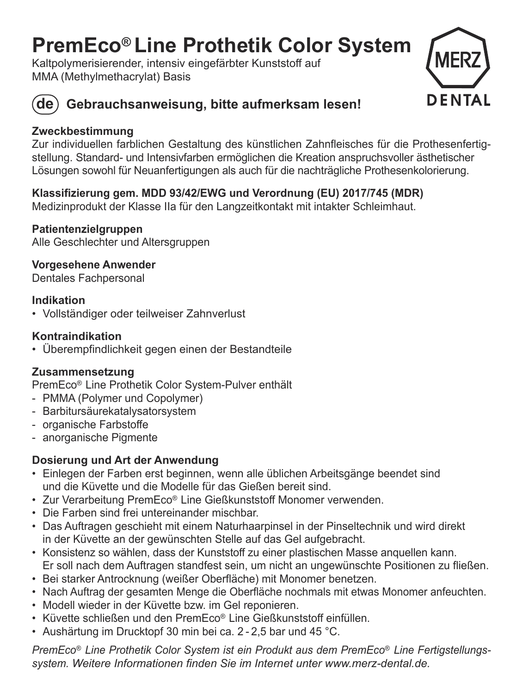## **PremEco® Line Prothetik Color System**

Kaltpolymerisierender, intensiv eingefärbter Kunststoff auf MMA (Methylmethacrylat) Basis





### **de Gebrauchsanweisung, bitte aufmerksam lesen!**

### **Zweckbestimmung**

Zur individuellen farblichen Gestaltung des künstlichen Zahnfleisches für die Prothesenfertigstellung. Standard- und Intensivfarben ermöglichen die Kreation anspruchsvoller ästhetischer Lösungen sowohl für Neuanfertigungen als auch für die nachträgliche Prothesen kolorierung.

### **Klassifizierung gem. MDD 93/42/EWG und Verordnung (EU) 2017/745 (MDR)**

Medizinprodukt der Klasse IIa für den Langzeitkontakt mit intakter Schleimhaut.

### **Patientenzielgruppen**

Alle Geschlechter und Altersgruppen

**Vorgesehene Anwender** 

Dentales Fachpersonal

### **Indikation**

• Vollständiger oder teilweiser Zahnverlust

### **Kontraindikation**

• Überempfindlichkeit gegen einen der Bestandteile

### **Zusammensetzung**

PremEco® Line Prothetik Color System-Pulver enthält

- PMMA (Polymer und Copolymer)
- Barbitursäurekatalysatorsystem
- organische Farbstoffe
- anorganische Pigmente

### **Dosierung und Art der Anwendung**

- Einlegen der Farben erst beginnen, wenn alle üblichen Arbeitsgänge beendet sind und die Küvette und die Modelle für das Gießen bereit sind.
- Zur Verarbeitung PremEco® Line Gießkunststoff Monomer verwenden.
- Die Farben sind frei untereinander mischbar.
- Das Auftragen geschieht mit einem Naturhaarpinsel in der Pinseltechnik und wird direkt in der Küvette an der gewünschten Stelle auf das Gel aufgebracht.
- Konsistenz so wählen, dass der Kunststoff zu einer plastischen Masse anquellen kann. Er soll nach dem Auftragen standfest sein, um nicht an ungewünschte Positionen zu fließen.
- Bei starker Antrocknung (weißer Oberfläche) mit Monomer benetzen.
- Nach Auftrag der gesamten Menge die Oberfläche nochmals mit etwas Monomer anfeuchten.
- Modell wieder in der Küvette bzw. im Gel reponieren.
- Küvette schließen und den PremEco® Line Gießkunststoff einfüllen.
- Aushärtung im Drucktopf 30 min bei ca. 2 2,5 bar und 45 °C.

*PremEco® Line Prothetik Color System ist ein Produkt aus dem PremEco® Line Fertigstellungssystem. Weitere Informationen finden Sie im Internet unter www.merz-dental.de.*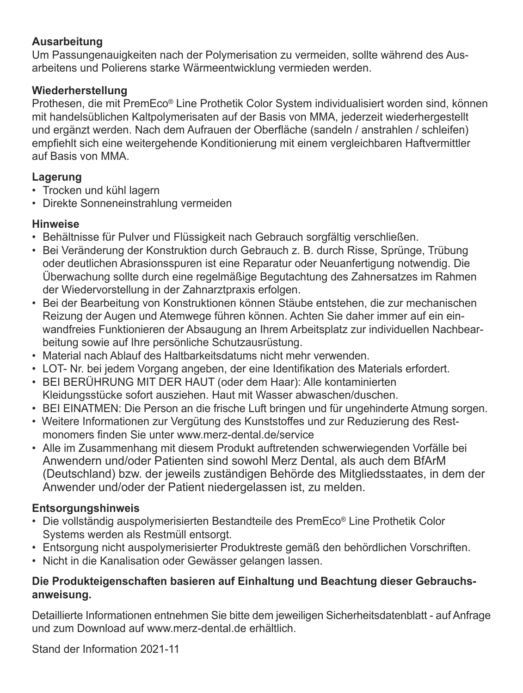### **Ausarbeitung**

Um Passungenauigkeiten nach der Polymerisation zu vermeiden, sollte während des Ausarbeitens und Polierens starke Wärmeentwicklung vermieden werden.

### **Wiederherstellung**

Prothesen, die mit PremEco® Line Prothetik Color System individualisiert worden sind, können mit handelsüblichen Kaltpolymerisaten auf der Basis von MMA, jederzeit wiederhergestellt und ergänzt werden. Nach dem Aufrauen der Oberfläche (sandeln / anstrahlen / schleifen) empfiehlt sich eine weitergehende Konditionierung mit einem vergleichbaren Haftvermittler auf Basis von MMA.

### **Lagerung**

- Trocken und kühl lagern
- Direkte Sonneneinstrahlung vermeiden

### **Hinweise**

- Behältnisse für Pulver und Flüssigkeit nach Gebrauch sorgfältig verschließen.
- Bei Veränderung der Konstruktion durch Gebrauch z. B. durch Risse, Sprünge, Trübung oder deutlichen Abrasionsspuren ist eine Reparatur oder Neuanfertigung notwendig. Die Überwachung sollte durch eine regelmäßige Begutachtung des Zahnersatzes im Rahmen der Wiedervorstellung in der Zahnarztpraxis erfolgen.
- Bei der Bearbeitung von Konstruktionen können Stäube entstehen, die zur mechanischen Reizung der Augen und Atemwege führen können. Achten Sie daher immer auf ein einwandfreies Funktionieren der Absaugung an Ihrem Arbeitsplatz zur individuellen Nachbearbeitung sowie auf Ihre persönliche Schutzausrüstung.
- Material nach Ablauf des Haltbarkeitsdatums nicht mehr verwenden.
- LOT- Nr. bei jedem Vorgang angeben, der eine Identifikation des Materials erfordert.
- BEI BERÜHRUNG MIT DER HAUT (oder dem Haar): Alle kontaminierten Kleidungsstücke sofort ausziehen. Haut mit Wasser abwaschen/duschen.
- BEI EINATMEN: Die Person an die frische Luft bringen und für ungehinderte Atmung sorgen.
- Weitere Informationen zur Vergütung des Kunststoffes und zur Reduzierung des Restmonomers finden Sie unter www.merz-dental.de/service
- Alle im Zusammenhang mit diesem Produkt auftretenden schwerwiegenden Vorfälle bei Anwendern und/oder Patienten sind sowohl Merz Dental, als auch dem BfArM (Deutschland) bzw. der jeweils zuständigen Behörde des Mitgliedsstaates, in dem der Anwender und/oder der Patient niedergelassen ist, zu melden.

### **Entsorgungshinweis**

- Die vollständig auspolymerisierten Bestandteile des PremEco® Line Prothetik Color Systems werden als Restmüll entsorgt.
- Entsorgung nicht auspolymerisierter Produktreste gemäß den behördlichen Vorschriften.
- Nicht in die Kanalisation oder Gewässer gelangen lassen.

### **Die Produkteigenschaften basieren auf Einhaltung und Beachtung dieser Gebrauchsanweisung.**

Detaillierte Informationen entnehmen Sie bitte dem jeweiligen Sicherheitsdatenblatt - auf Anfrage und zum Download auf www.merz-dental.de erhältlich.

Stand der Information 2021-11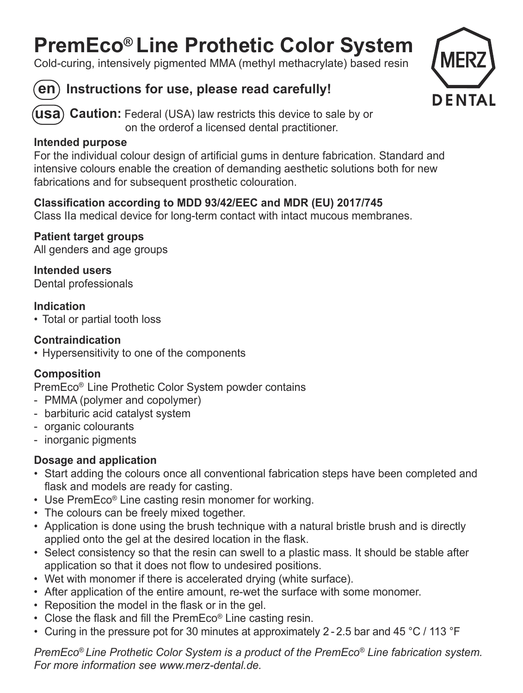## **PremEco® Line Prothetic Color System**

Cold-curing, intensively pigmented MMA (methyl methacrylate) based resin



### **en Instructions for use, please read carefully!**



**Caution:** Federal (USA) law restricts this device to sale by or **usa**on the orderof a licensed dental practitioner.

### **Intended purpose**

For the individual colour design of artificial gums in denture fabrication. Standard and intensive colours enable the creation of demanding aesthetic solutions both for new fabrications and for subsequent prosthetic colouration.

### **Classification according to MDD 93/42/EEC and MDR (EU) 2017/745**

Class IIa medical device for long-term contact with intact mucous membranes.

**Patient target groups** All genders and age groups

**Intended users**Dental professionals

### **Indication**

• Total or partial tooth loss

### **Contraindication**

• Hypersensitivity to one of the components

### **Composition**

PremEco® Line Prothetic Color System powder contains

- PMMA (polymer and copolymer)
- barbituric acid catalyst system
- organic colourants
- inorganic pigments

### **Dosage and application**

- Start adding the colours once all conventional fabrication steps have been completed and flask and models are ready for casting.
- Use PremEco® Line casting resin monomer for working.
- The colours can be freely mixed together.
- Application is done using the brush technique with a natural bristle brush and is directly applied onto the gel at the desired location in the flask.
- Select consistency so that the resin can swell to a plastic mass. It should be stable after application so that it does not flow to undesired positions.
- Wet with monomer if there is accelerated drying (white surface).
- After application of the entire amount, re-wet the surface with some monomer.
- Reposition the model in the flask or in the gel.
- Close the flask and fill the PremEco® Line casting resin.
- Curing in the pressure pot for 30 minutes at approximately 2 2.5 bar and 45 °C / 113 °F

*PremEco® Line Prothetic Color System is a product of the PremEco® Line fabrication system. For more information see www.merz-dental.de.*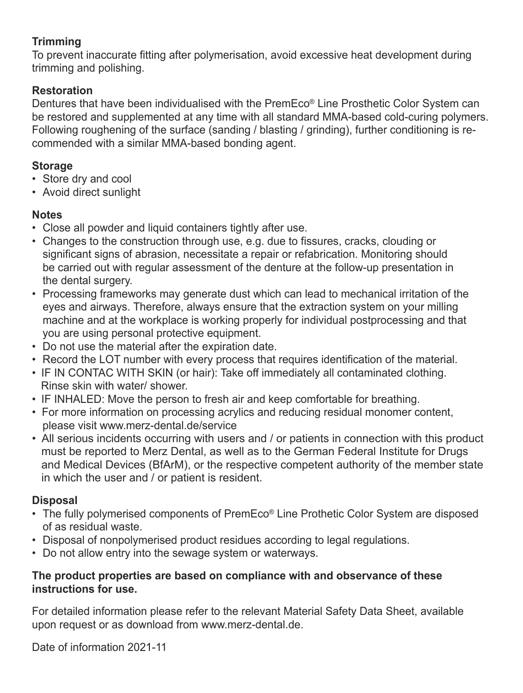### **Trimming**

To prevent inaccurate fitting after polymerisation, avoid excessive heat development during trimming and polishing.

### **Restoration**

Dentures that have been individualised with the PremEco® Line Prosthetic Color System can be restored and supplemented at any time with all standard MMA-based cold-curing polymers. Following roughening of the surface (sanding / blasting / grinding), further conditioning is recommended with a similar MMA-based bonding agent.

### **Storage**

- Store dry and cool
- Avoid direct sunlight

### **Notes**

- Close all powder and liquid containers tightly after use.
- Changes to the construction through use, e.g. due to fissures, cracks, clouding or significant signs of abrasion, necessitate a repair or refabrication. Monitoring should be carried out with regular assessment of the denture at the follow-up presentation in the dental surgery.
- Processing frameworks may generate dust which can lead to mechanical irritation of the eyes and airways. Therefore, always ensure that the extraction system on your milling machine and at the workplace is working properly for individual postprocessing and that you are using personal protective equipment.
- Do not use the material after the expiration date.
- Record the LOT number with every process that requires identification of the material.
- IF IN CONTAC WITH SKIN (or hair): Take off immediately all contaminated clothing. Rinse skin with water/ shower.
- IF INHALED: Move the person to fresh air and keep comfortable for breathing.
- For more information on processing acrylics and reducing residual monomer content, please visit www.merz-dental.de/service
- All serious incidents occurring with users and / or patients in connection with this product must be reported to Merz Dental, as well as to the German Federal Institute for Drugs and Medical Devices (BfArM), or the respective competent authority of the member state in which the user and / or patient is resident.

### **Disposal**

- The fully polymerised components of PremEco® Line Prothetic Color System are disposed of as residual waste.
- Disposal of nonpolymerised product residues according to legal regulations.
- Do not allow entry into the sewage system or waterways.

### **The product properties are based on compliance with and observance of these instructions for use.**

For detailed information please refer to the relevant Material Safety Data Sheet, available upon request or as download from www.merz-dental.de.

Date of information 2021-11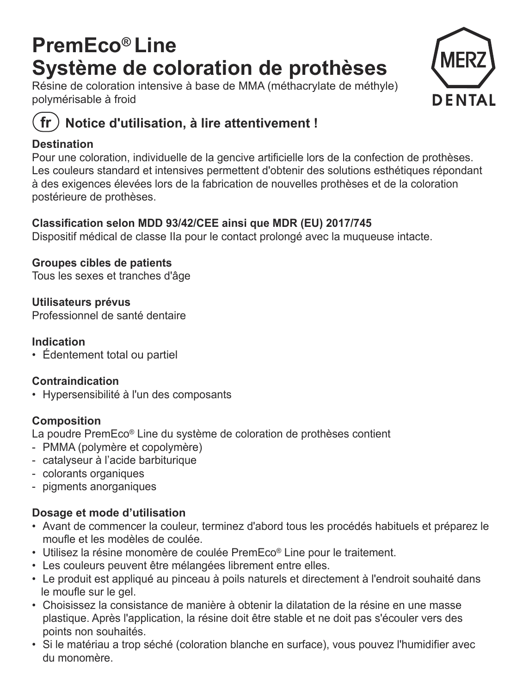## **PremEco® Line Système de coloration de prothèses**

Résine de coloration intensive à base de MMA (méthacrylate de méthyle) polymérisable à froid



### **Notice d'utilisation, à lire attentivement !**

### **Destination**

Pour une coloration, individuelle de la gencive artificielle lors de la confection de prothèses. Les couleurs standard et intensives permettent d'obtenir des solutions esthétiques répondant à des exigences élevées lors de la fabrication de nouvelles prothèses et de la coloration postérieure de prothèses.

### **Classification selon MDD 93/42/CEE ainsi que MDR (EU) 2017/745**

Dispositif médical de classe IIa pour le contact prolongé avec la muqueuse intacte.

### **Groupes cibles de patients**

Tous les sexes et tranches d'âge

**Utilisateurs prévus** Professionnel de santé dentaire

### **Indication**

• Édentement total ou partiel

### **Contraindication**

• Hypersensibilité à l'un des composants

### **Composition**

La poudre PremEco® Line du système de coloration de prothèses contient

- PMMA (polymère et copolymère)
- catalyseur à l'acide barbiturique
- colorants organiques
- pigments anorganiques

### **Dosage et mode d'utilisation**

- Avant de commencer la couleur, terminez d'abord tous les procédés habituels et préparez le moufle et les modèles de coulée.
- Utilisez la résine monomère de coulée PremEco® Line pour le traitement.
- Les couleurs peuvent être mélangées librement entre elles.
- Le produit est appliqué au pinceau à poils naturels et directement à l'endroit souhaité dans le moufle sur le gel.
- Choisissez la consistance de manière à obtenir la dilatation de la résine en une masse plastique. Après l'application, la résine doit être stable et ne doit pas s'écouler vers des points non souhaités.
- Si le matériau a trop séché (coloration blanche en surface), vous pouvez l'humidifier avec du monomère.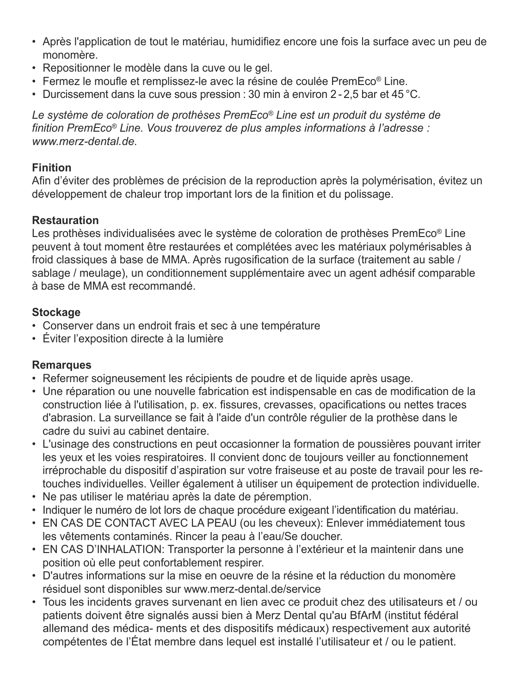- Après l'application de tout le matériau, humidifiez encore une fois la surface avec un peu de monomère.
- Repositionner le modèle dans la cuve ou le gel.
- Fermez le moufle et remplissez-le avec la résine de coulée PremEco® Line.
- Durcissement dans la cuve sous pression : 30 min à environ 2 2,5 bar et 45 °C.

*Le système de coloration de prothèses PremEco® Line est un produit du système de finition PremEco® Line. Vous trouverez de plus amples informations à l'adresse : www.merz-dental.de.*

### **Finition**

Afin d'éviter des problèmes de précision de la reproduction après la polymérisation, évitez un développement de chaleur trop important lors de la finition et du polissage.

### **Restauration**

Les prothèses individualisées avec le système de coloration de prothèses PremEco® Line peuvent à tout moment être restaurées et complétées avec les matériaux polymérisables à froid classiques à base de MMA. Après rugosification de la surface (traitement au sable / sablage / meulage), un conditionnement supplémentaire avec un agent adhésif comparable à base de MMA est recommandé.

### **Stockage**

- Conserver dans un endroit frais et sec à une température
- Éviter l'exposition directe à la lumière

### **Remarques**

- Refermer soigneusement les récipients de poudre et de liquide après usage.
- Une réparation ou une nouvelle fabrication est indispensable en cas de modification de la construction liée à l'utilisation, p. ex. fissures, crevasses, opacifications ou nettes traces d'abrasion. La surveillance se fait à l'aide d'un contrôle régulier de la prothèse dans le cadre du suivi au cabinet dentaire.
- L'usinage des constructions en peut occasionner la formation de poussières pouvant irriter les yeux et les voies respiratoires. Il convient donc de toujours veiller au fonctionnement irréprochable du dispositif d'aspiration sur votre fraiseuse et au poste de travail pour les retouches individuelles. Veiller également à utiliser un équipement de protection individuelle.
- Ne pas utiliser le matériau après la date de péremption.
- Indiquer le numéro de lot lors de chaque procédure exigeant l'identification du matériau.
- EN CAS DE CONTACT AVEC LA PEAU (ou les cheveux): Enlever immédiatement tous les vêtements contaminés. Rincer la peau à l'eau/Se doucher.
- EN CAS D'INHALATION: Transporter la personne à l'extérieur et la maintenir dans une position où elle peut confortablement respirer.
- D'autres informations sur la mise en oeuvre de la résine et la réduction du monomère résiduel sont disponibles sur www.merz-dental.de/service
- Tous les incidents graves survenant en lien avec ce produit chez des utilisateurs et / ou patients doivent être signalés aussi bien à Merz Dental qu'au BfArM (institut fédéral allemand des médica- ments et des dispositifs médicaux) respectivement aux autorité compétentes de l'État membre dans lequel est installé l'utilisateur et / ou le patient.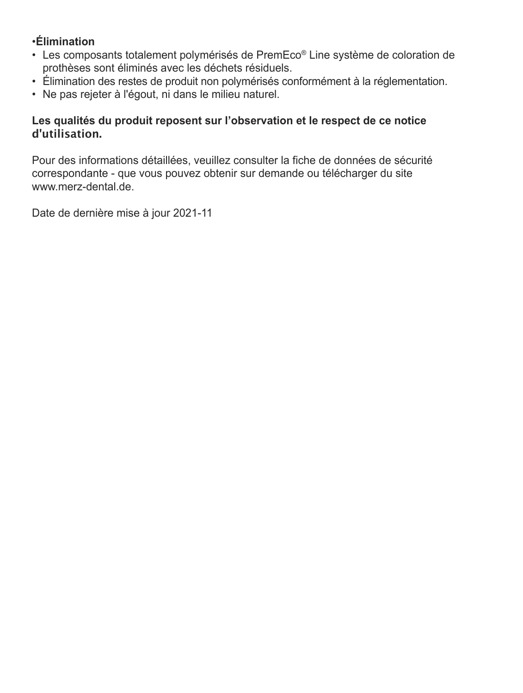### •**Élimination**

- Les composants totalement polymérisés de PremEco® Line système de coloration de prothèses sont éliminés avec les déchets résiduels.
- Élimination des restes de produit non polymérisés conformément à la réglementation.
- Ne pas rejeter à l'égout, ni dans le milieu naturel.

### **Les qualités du produit reposent sur l'observation et le respect de ce notice d'utilisation.**

Pour des informations détaillées, veuillez consulter la fiche de données de sécurité correspondante - que vous pouvez obtenir sur demande ou télécharger du site www.merz-dental.de.

Date de dernière mise à jour 2021-11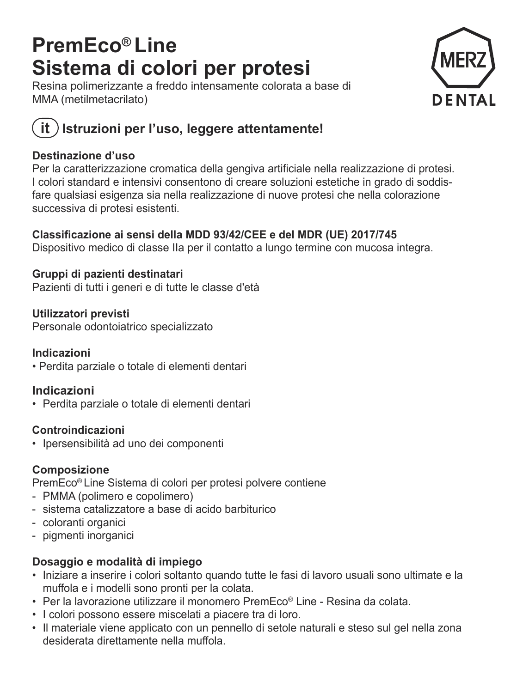## **PremEco® Line Sistema di colori per protesi**

Resina polimerizzante a freddo intensamente colorata a base di MMA (metilmetacrilato)



### **it**) Istruzioni per l'uso, leggere attentamente!

### **Destinazione d'uso**

Per la caratterizzazione cromatica della gengiva artificiale nella realizzazione di protesi. I colori standard e intensivi consentono di creare soluzioni estetiche in grado di soddisfare qualsiasi esigenza sia nella realizzazione di nuove protesi che nella colorazione successiva di protesi esistenti.

### **Classificazione ai sensi della MDD 93/42/CEE e del MDR (UE) 2017/745**

Dispositivo medico di classe IIa per il contatto a lungo termine con mucosa integra.

### **Gruppi di pazienti destinatari**

Pazienti di tutti i generi e di tutte le classe d'età

### **Utilizzatori previsti**

Personale odontoiatrico specializzato

### **Indicazioni**

• Perdita parziale o totale di elementi dentari

### **Indicazioni**

• Perdita parziale o totale di elementi dentari

### **Controindicazioni**

• Ipersensibilità ad uno dei componenti

### **Composizione**

PremEco® Line Sistema di colori per protesi polvere contiene

- PMMA (polimero e copolimero)
- sistema catalizzatore a base di acido barbiturico
- coloranti organici
- pigmenti inorganici

### **Dosaggio e modalità di impiego**

- Iniziare a inserire i colori soltanto quando tutte le fasi di lavoro usuali sono ultimate e la muffola e i modelli sono pronti per la colata.
- Per la lavorazione utilizzare il monomero PremEco® Line Resina da colata.
- I colori possono essere miscelati a piacere tra di loro.
- Il materiale viene applicato con un pennello di setole naturali e steso sul gel nella zona desiderata direttamente nella muffola.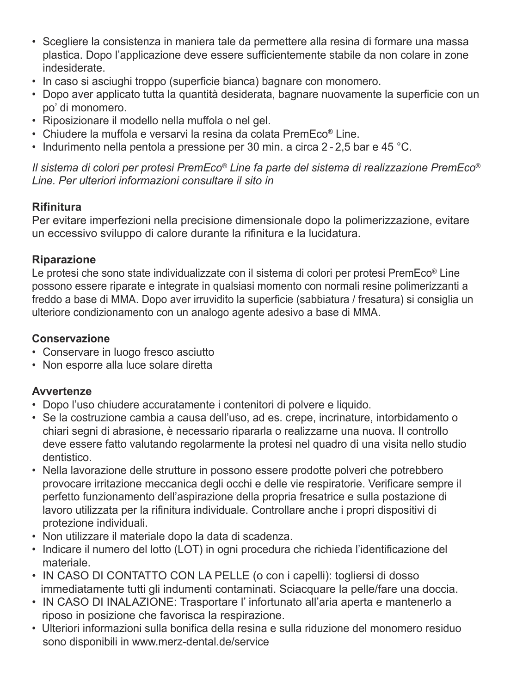- Scegliere la consistenza in maniera tale da permettere alla resina di formare una massa plastica. Dopo l'applicazione deve essere sufficientemente stabile da non colare in zone indesiderate.
- In caso si asciughi troppo (superficie bianca) bagnare con monomero.
- Dopo aver applicato tutta la quantità desiderata, bagnare nuovamente la superficie con un po' di monomero.
- Riposizionare il modello nella muffola o nel gel.
- Chiudere la muffola e versarvi la resina da colata PremEco® Line.
- Indurimento nella pentola a pressione per 30 min. a circa 2 2,5 bar e 45 °C.

*Il sistema di colori per protesi PremEco® Line fa parte del sistema di realizzazione PremEco® Line. Per ulteriori informazioni consultare il sito in*

### **Rifinitura**

Per evitare imperfezioni nella precisione dimensionale dopo la polimerizzazione, evitare un eccessivo sviluppo di calore durante la rifinitura e la lucidatura.

### **Riparazione**

Le protesi che sono state individualizzate con il sistema di colori per protesi PremEco® Line possono essere riparate e integrate in qualsiasi momento con normali resine polimerizzanti a freddo a base di MMA. Dopo aver irruvidito la superficie (sabbiatura / fresatura) si consiglia un ulteriore condizionamento con un analogo agente adesivo a base di MMA.

### **Conservazione**

- Conservare in luogo fresco asciutto
- Non esporre alla luce solare diretta

### **Avvertenze**

- Dopo l'uso chiudere accuratamente i contenitori di polvere e liquido.
- Se la costruzione cambia a causa dell'uso, ad es. crepe, incrinature, intorbidamento o chiari segni di abrasione, è necessario ripararla o realizzarne una nuova. Il controllo deve essere fatto valutando regolarmente la protesi nel quadro di una visita nello studio dentistico.
- Nella lavorazione delle strutture in possono essere prodotte polveri che potrebbero provocare irritazione meccanica degli occhi e delle vie respiratorie. Verificare sempre il perfetto funzionamento dell'aspirazione della propria fresatrice e sulla postazione di lavoro utilizzata per la rifinitura individuale. Controllare anche i propri dispositivi di protezione individuali.
- Non utilizzare il materiale dopo la data di scadenza.
- Indicare il numero del lotto (LOT) in ogni procedura che richieda l'identificazione del materiale.
- IN CASO DI CONTATTO CON LA PELLE (o con i capelli): togliersi di dosso immediatamente tutti gli indumenti contaminati. Sciacquare la pelle/fare una doccia.
- IN CASO DI INALAZIONE: Trasportare l' infortunato all'aria aperta e mantenerlo a riposo in posizione che favorisca la respirazione.
- Ulteriori informazioni sulla bonifica della resina e sulla riduzione del monomero residuo sono disponibili in www.merz-dental.de/service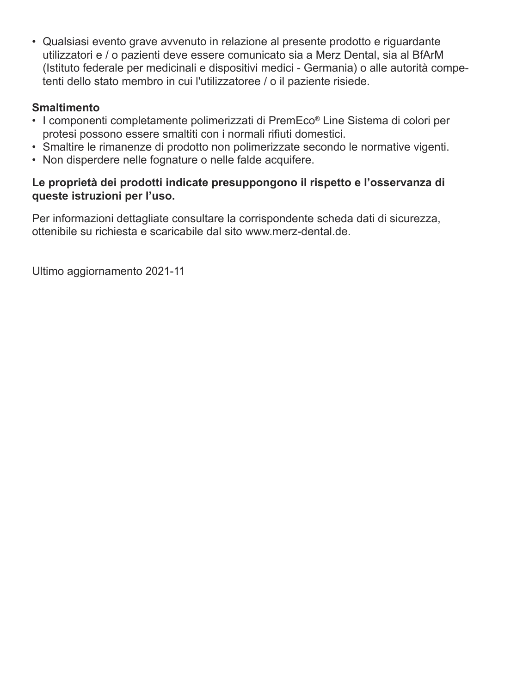• Qualsiasi evento grave avvenuto in relazione al presente prodotto e riguardante utilizzatori e / o pazienti deve essere comunicato sia a Merz Dental, sia al BfArM (Istituto federale per medicinali e dispositivi medici - Germania) o alle autorità competenti dello stato membro in cui l'utilizzatoree / o il paziente risiede.

### **Smaltimento**

- I componenti completamente polimerizzati di PremEco® Line Sistema di colori per protesi possono essere smaltiti con i normali rifiuti domestici.
- Smaltire le rimanenze di prodotto non polimerizzate secondo le normative vigenti.
- Non disperdere nelle fognature o nelle falde acquifere.

### **Le proprietà dei prodotti indicate presuppongono il rispetto e l'osservanza di queste istruzioni per l'uso.**

Per informazioni dettagliate consultare la corrispondente scheda dati di sicurezza, ottenibile su richiesta e scaricabile dal sito www.merz-dental.de.

Ultimo aggiornamento 2021-11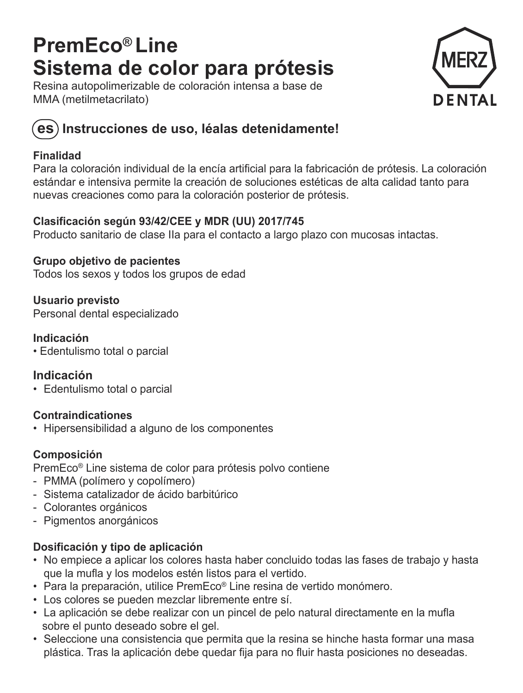## **PremEco® Line Sistema de color para prótesis**

Resina autopolimerizable de coloración intensa a base de MMA (metilmetacrilato)



### **es Instrucciones de uso, léalas detenidamente!**

### **Finalidad**

Para la coloración individual de la encía artificial para la fabricación de prótesis. La coloración estándar e intensiva permite la creación de soluciones estéticas de alta calidad tanto para nuevas creaciones como para la coloración posterior de prótesis.

### **Clasificación según 93/42/CEE y MDR (UU) 2017/745**

Producto sanitario de clase IIa para el contacto a largo plazo con mucosas intactas.

**Grupo objetivo de pacientes** Todos los sexos y todos los grupos de edad

**Usuario previsto** Personal dental especializado

### **Indicación**

• Edentulismo total o parcial

### **Indicación**

• Edentulismo total o parcial

### **Contraindicationes**

• Hipersensibilidad a alguno de los componentes

### **Composición**

PremEco® Line sistema de color para prótesis polvo contiene

- PMMA (polímero y copolímero)
- Sistema catalizador de ácido barbitúrico
- Colorantes orgánicos
- Pigmentos anorgánicos

### **Dosificación y tipo de aplicación**

- No empiece a aplicar los colores hasta haber concluido todas las fases de trabajo y hasta que la mufla y los modelos estén listos para el vertido.
- Para la preparación, utilice PremEco® Line resina de vertido monómero.
- Los colores se pueden mezclar libremente entre sí.
- La aplicación se debe realizar con un pincel de pelo natural directamente en la mufla sobre el punto deseado sobre el gel.
- Seleccione una consistencia que permita que la resina se hinche hasta formar una masa plástica. Tras la aplicación debe quedar fija para no fluir hasta posiciones no deseadas.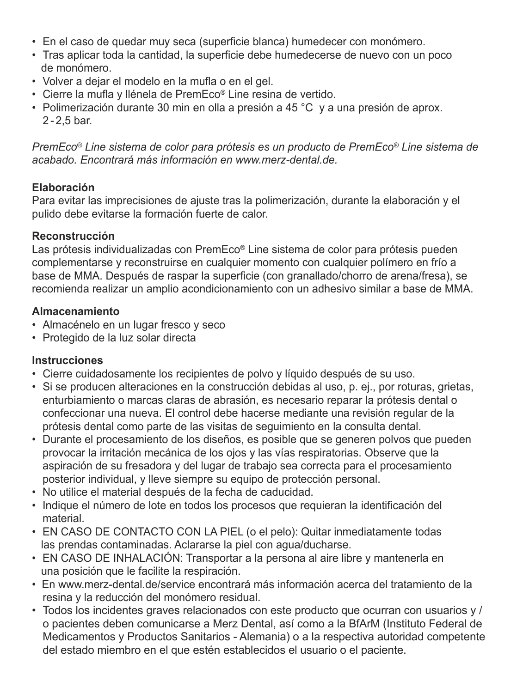- En el caso de quedar muy seca (superficie blanca) humedecer con monómero.
- Tras aplicar toda la cantidad, la superficie debe humedecerse de nuevo con un poco de monómero.
- Volver a dejar el modelo en la mufla o en el gel.
- Cierre la mufla y llénela de PremEco® Line resina de vertido.
- Polimerización durante 30 min en olla a presión a 45 °C y a una presión de aprox. 2 - 2,5 bar.

*PremEco® Line sistema de color para prótesis es un producto de PremEco® Line sistema de acabado. Encontrará más información en www.merz-dental.de.*

### **Elaboración**

 Para evitar las imprecisiones de ajuste tras la polimerización, durante la elaboración y el pulido debe evitarse la formación fuerte de calor.

### **Reconstrucción**

 Las prótesis individualizadas con PremEco® Line sistema de color para prótesis pueden complementarse y reconstruirse en cualquier momento con cualquier polímero en frío a base de MMA. Después de raspar la superficie (con granallado/chorro de arena/fresa), se recomienda realizar un amplio acondicionamiento con un adhesivo similar a base de MMA.

### **Almacenamiento**

- Almacénelo en un lugar fresco y seco
- Protegido de la luz solar directa

### **Instrucciones**

- Cierre cuidadosamente los recipientes de polvo y líquido después de su uso.
- Si se producen alteraciones en la construcción debidas al uso, p. ej., por roturas, grietas, enturbiamiento o marcas claras de abrasión, es necesario reparar la prótesis dental o confeccionar una nueva. El control debe hacerse mediante una revisión regular de la prótesis dental como parte de las visitas de seguimiento en la consulta dental.
- Durante el procesamiento de los diseños, es posible que se generen polvos que pueden provocar la irritación mecánica de los ojos y las vías respiratorias. Observe que la aspiración de su fresadora y del lugar de trabajo sea correcta para el procesamiento posterior individual, y lleve siempre su equipo de protección personal.
- No utilice el material después de la fecha de caducidad.
- Indique el número de lote en todos los procesos que requieran la identificación del material.
- EN CASO DE CONTACTO CON LA PIEL (o el pelo): Quitar inmediatamente todas las prendas contaminadas. Aclararse la piel con agua/ducharse.
- EN CASO DE INHALACIÓN: Transportar a la persona al aire libre y mantenerla en una posición que le facilite la respiración.
- En www.merz-dental.de/service encontrará más información acerca del tratamiento de la resina y la reducción del monómero residual.
- Todos los incidentes graves relacionados con este producto que ocurran con usuarios y / o pacientes deben comunicarse a Merz Dental, así como a la BfArM (Instituto Federal de Medicamentos y Productos Sanitarios - Alemania) o a la respectiva autoridad competente del estado miembro en el que estén establecidos el usuario o el paciente.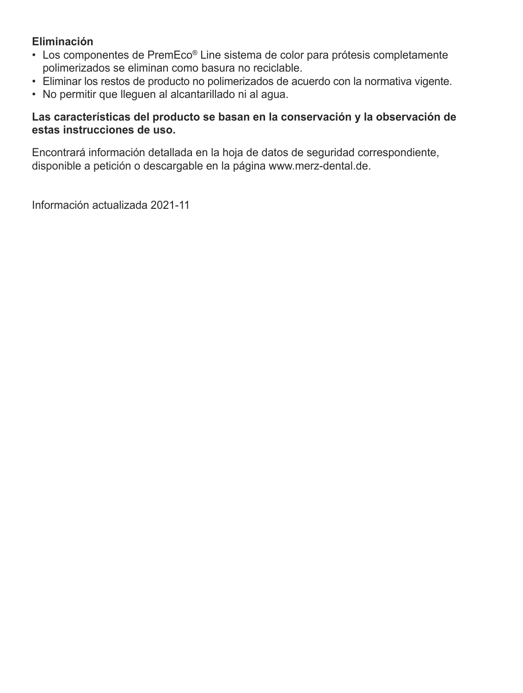### **Eliminación**

- Los componentes de PremEco® Line sistema de color para prótesis completamente polimerizados se eliminan como basura no reciclable.
- Eliminar los restos de producto no polimerizados de acuerdo con la normativa vigente.
- No permitir que lleguen al alcantarillado ni al agua.

### **Las características del producto se basan en la conservación y la observación de estas instrucciones de uso.**

Encontrará información detallada en la hoja de datos de seguridad correspondiente, disponible a petición o descargable en la página www.merz-dental.de.

Información actualizada 2021-11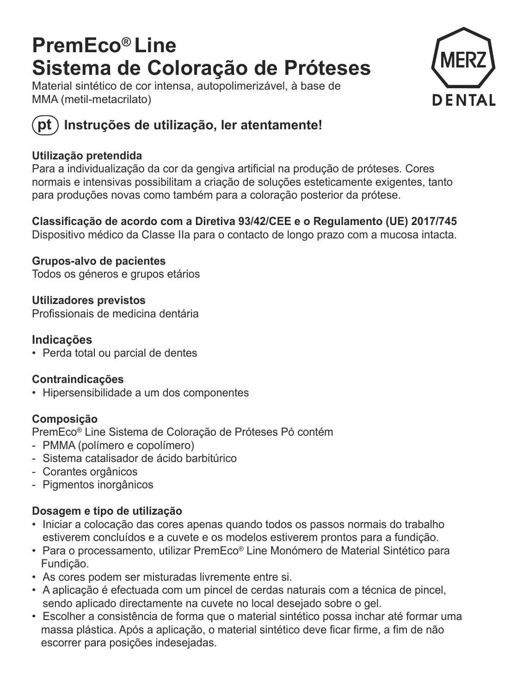## **PremEco® Line Sistema de Coloração de Próteses**

Material sintético de cor intensa, autopolimerizável, à base de MMA (metil-metacrilato)





### **pt Instruções de utilização, ler atentamente!**

### **Utilização pretendida**

Para a individualização da cor da gengiva artificial na produção de próteses. Cores normais e intensivas possibilitam a criação de soluções esteticamente exigentes, tanto para produções novas como também para a coloração posterior da prótese.

**Classificação de acordo com a Diretiva 93/42/CEE e o Regulamento (UE) 2017/745**  Dispositivo médico da Classe IIa para o contacto de longo prazo com a mucosa intacta.

**Grupos-alvo de pacientes** Todos os géneros e grupos etários

**Utilizadores previstos** Profissionais de medicina dentária

### **Indicações**

• Perda total ou parcial de dentes

### **Contraindicações**

• Hipersensibilidade a um dos componentes

### **Composição**

PremEco® Line Sistema de Coloração de Próteses Pó contém

- PMMA (polímero e copolímero)
- Sistema catalisador de ácido barbitúrico
- Corantes orgânicos
- Pigmentos inorgânicos

### **Dosagem e tipo de utilização**

- Iniciar a colocação das cores apenas quando todos os passos normais do trabalho estiverem concluídos e a cuvete e os modelos estiverem prontos para a fundição.
- Para o processamento, utilizar PremEco® Line Monómero de Material Sintético para Fundição.
- As cores podem ser misturadas livremente entre si.
- A aplicação é efectuada com um pincel de cerdas naturais com a técnica de pincel, sendo aplicado directamente na cuvete no local desejado sobre o gel.
- Escolher a consistência de forma que o material sintético possa inchar até formar uma massa plástica. Após a aplicação, o material sintético deve ficar firme, a fim de não escorrer para posições indesejadas.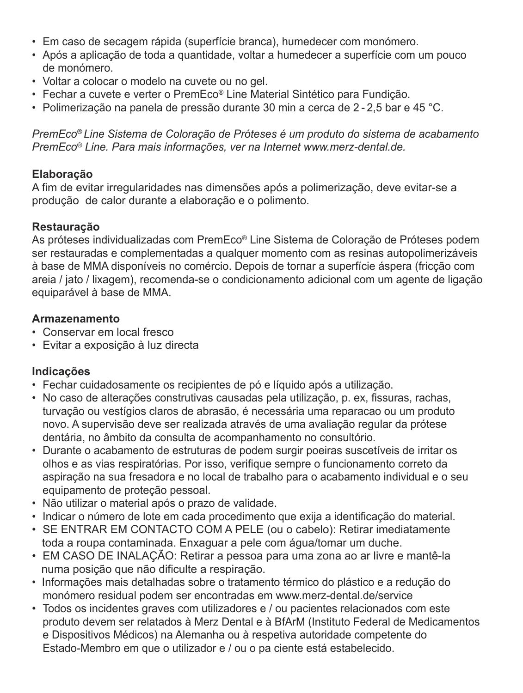- Em caso de secagem rápida (superfície branca), humedecer com monómero.
- Após a aplicação de toda a quantidade, voltar a humedecer a superfície com um pouco de monómero.
- Voltar a colocar o modelo na cuvete ou no gel.
- Fechar a cuvete e verter o PremEco® Line Material Sintético para Fundição.
- Polimerização na panela de pressão durante 30 min a cerca de 2 2,5 bar e 45 °C.

*PremEco® Line Sistema de Coloração de Próteses é um produto do sistema de acabamento PremEco® Line. Para mais informações, ver na Internet www.merz-dental.de.*

### **Elaboração**

A fim de evitar irregularidades nas dimensões após a polimerização, deve evitar-se a produção de calor durante a elaboração e o polimento.

### **Restauração**

As próteses individualizadas com PremEco® Line Sistema de Coloração de Próteses podem ser restauradas e complementadas a qualquer momento com as resinas autopolimerizáveis à base de MMA disponíveis no comércio. Depois de tornar a superfície áspera (fricção com areia / jato / lixagem), recomenda-se o condicionamento adicional com um agente de ligação equiparável à base de MMA.

### **Armazenamento**

- Conservar em local fresco
- Evitar a exposição à luz directa

### **Indicações**

- Fechar cuidadosamente os recipientes de pó e líquido após a utilização.
- No caso de alterações construtivas causadas pela utilização, p. ex, fissuras, rachas, turvação ou vestígios claros de abrasão, é necessária uma reparacao ou um produto novo. A supervisão deve ser realizada através de uma avaliação regular da prótese dentária, no âmbito da consulta de acompanhamento no consultório.
- Durante o acabamento de estruturas de podem surgir poeiras suscetíveis de irritar os olhos e as vias respiratórias. Por isso, verifique sempre o funcionamento correto da aspiração na sua fresadora e no local de trabalho para o acabamento individual e o seu equipamento de proteção pessoal.
- Não utilizar o material após o prazo de validade.
- Indicar o número de lote em cada procedimento que exija a identificação do material.
- SE ENTRAR EM CONTACTO COM A PELE (ou o cabelo): Retirar imediatamente toda a roupa contaminada. Enxaguar a pele com água/tomar um duche.
- EM CASO DE INALAÇÃO: Retirar a pessoa para uma zona ao ar livre e mantê-la numa posição que não dificulte a respiração.
- Informações mais detalhadas sobre o tratamento térmico do plástico e a redução do monómero residual podem ser encontradas em www.merz-dental.de/service
- Todos os incidentes graves com utilizadores e / ou pacientes relacionados com este produto devem ser relatados à Merz Dental e à BfArM (Instituto Federal de Medicamentos e Dispositivos Médicos) na Alemanha ou à respetiva autoridade competente do Estado-Membro em que o utilizador e / ou o pa ciente está estabelecido.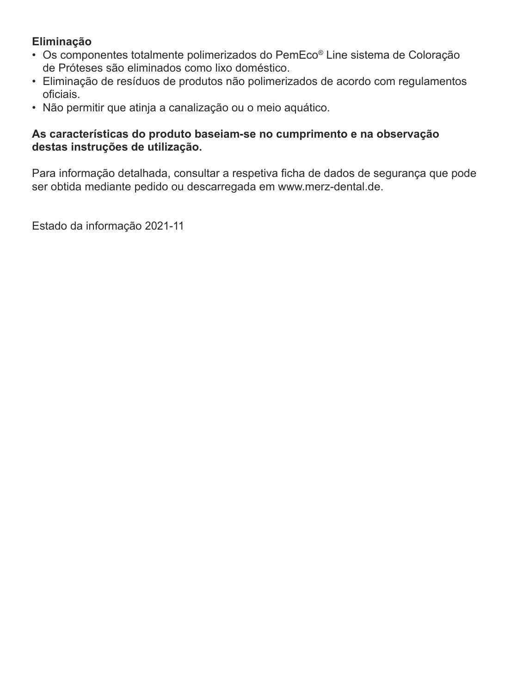### **Eliminação**

- Os componentes totalmente polimerizados do PemEco® Line sistema de Coloração de Próteses são eliminados como lixo doméstico.
- Eliminação de resíduos de produtos não polimerizados de acordo com regulamentos oficiais.
- Não permitir que atinja a canalização ou o meio aquático.

### **As características do produto baseiam-se no cumprimento e na observação destas instruções de utilização.**

Para informação detalhada, consultar a respetiva ficha de dados de segurança que pode ser obtida mediante pedido ou descarregada em www.merz-dental.de.

Estado da informação 2021-11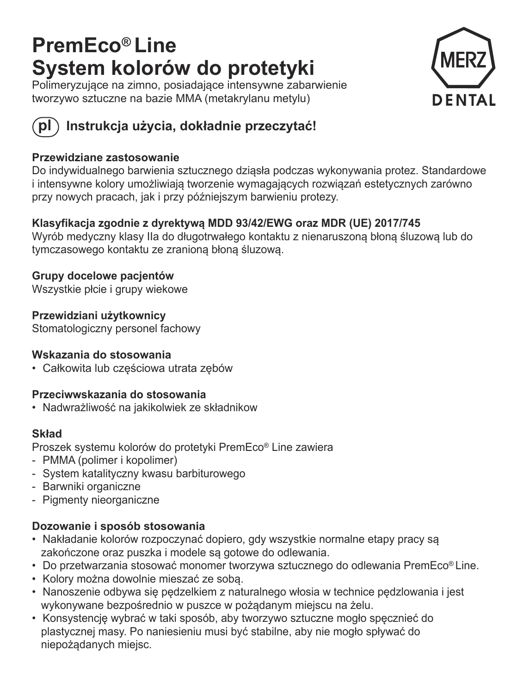## **PremEco® Line System kolorów do protetyki**

Polimeryzujące na zimno, posiadające intensywne zabarwienie tworzywo sztuczne na bazie MMA (metakrylanu metylu)





### **pl Instrukcja użycia, dokładnie przeczytać!**

### **Przewidziane zastosowanie**

Do indywidualnego barwienia sztucznego dziąsła podczas wykonywania protez. Standardowe i intensywne kolory umożliwiają tworzenie wymagających rozwiązań estetycznych zarówno przy nowych pracach, jak i przy późniejszym barwieniu protezy.

### **Klasyfikacja zgodnie z dyrektywą MDD 93/42/EWG oraz MDR (UE) 2017/745**

Wyrób medyczny klasy IIa do długotrwałego kontaktu z nienaruszoną błoną śluzową lub do tymczasowego kontaktu ze zranioną błoną śluzową.

**Grupy docelowe pacjentów**  Wszystkie płcie i grupy wiekowe

**Przewidziani użytkownicy**  Stomatologiczny personel fachowy

### **Wskazania do stosowania**

• Całkowita lub częściowa utrata zębów

### **Przeciwwskazania do stosowania**

• Nadwrażliwość na jakikolwiek ze składnikow

### **Skład**

Proszek systemu kolorów do protetyki PremEco® Line zawiera

- PMMA (polimer i kopolimer)
- System katalityczny kwasu barbiturowego
- Barwniki organiczne
- Pigmenty nieorganiczne

### **Dozowanie i sposób stosowania**

- Nakładanie kolorów rozpoczynać dopiero, gdy wszystkie normalne etapy pracy są zakończone oraz puszka i modele są gotowe do odlewania.
- Do przetwarzania stosować monomer tworzywa sztucznego do odlewania PremEco® Line.
- Kolory można dowolnie mieszać ze sobą.
- Nanoszenie odbywa się pędzelkiem z naturalnego włosia w technice pędzlowania i jest wykonywane bezpośrednio w puszce w pożądanym miejscu na żelu.
- Konsystencję wybrać w taki sposób, aby tworzywo sztuczne mogło spęcznieć do plastycznej masy. Po naniesieniu musi być stabilne, aby nie mogło spływać do niepożądanych miejsc.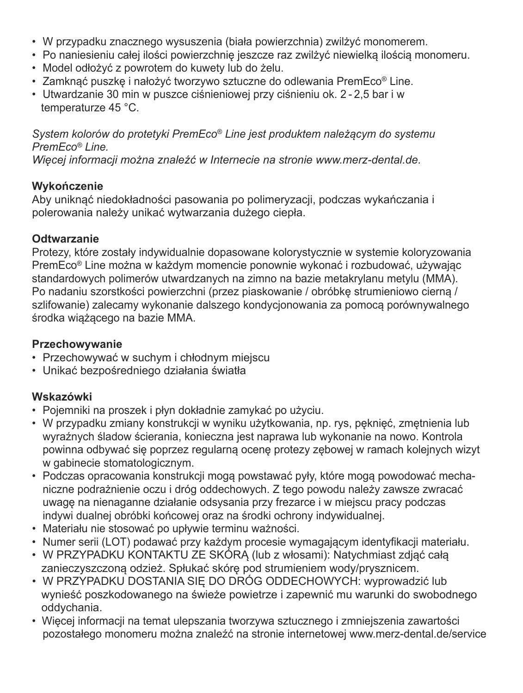- W przypadku znacznego wysuszenia (biała powierzchnia) zwilżyć monomerem.
- Po naniesieniu całej ilości powierzchnię jeszcze raz zwilżyć niewielką ilością monomeru.
- Model odłożyć z powrotem do kuwety lub do żelu.
- Zamknąć puszkę i nałożyć tworzywo sztuczne do odlewania PremEco® Line.
- Utwardzanie 30 min w puszce ciśnieniowej przy ciśnieniu ok. 2 2,5 bar i w temperaturze 45 °C.

*System kolorów do protetyki PremEco® Line jest produktem należącym do systemu PremEco® Line.* 

*Więcej informacji można znaleźć w Internecie na stronie www.merz-dental.de.*

### **Wykończenie**

Aby uniknąć niedokładności pasowania po polimeryzacji, podczas wykańczania i polerowania należy unikać wytwarzania dużego ciepła.

### **Odtwarzanie**

 Protezy, które zostały indywidualnie dopasowane kolorystycznie w systemie koloryzowania PremEco® Line można w każdym momencie ponownie wykonać i rozbudować, używają<sup>c</sup> standardowych polimerów utwardzanych na zimno na bazie metakrylanu metylu (MMA). Po nadaniu szorstkości powierzchni (przez piaskowanie / obróbkę strumieniowo cierną / szlifowanie) zalecamy wykonanie dalszego kondycjonowania za pomocą porównywalnego środka wiążącego na bazie MMA.

### **Przechowywanie**

- Przechowywać w suchym i chłodnym miejscu
- Unikać bezpośredniego działania światł<sup>a</sup>

### **Wskazówki**

- Pojemniki na proszek i płyn dokładnie zamykać po użyciu.
- W przypadku zmiany konstrukcji w wyniku użytkowania, np. rys, pęknięć, zmętnienia lub wyraźnych śladow ścierania, konieczna jest naprawa lub wykonanie na nowo. Kontrola powinna odbywać się poprzez regularną ocenę protezy zębowej w ramach kolejnych wizyt w gabinecie stomatologicznym.
- Podczas opracowania konstrukcji mogą powstawać pyły, które mogą powodować mechaniczne podrażnienie oczu i dróg oddechowych. Z tego powodu należy zawsze zwracać uwagę na nienaganne działanie odsysania przy frezarce i w miejscu pracy podczas indywi dualnej obróbki końcowej oraz na środki ochrony indywidualnej.
- Materiału nie stosować po upływie terminu ważności.
- Numer serii (LOT) podawać przy każdym procesie wymagającym identyfikacji materiału.
- W PRZYPADKU KONTAKTU ZE SKÓRĄ (lub z włosami): Natychmiast zdjąć całą zanieczyszczoną odzież. Spłukać skórę pod strumieniem wody/prysznicem.
- W PRZYPADKU DOSTANIA SIĘ DO DRÓG ODDECHOWYCH: wyprowadzi<sup>ć</sup> lub wynieść poszkodowanego na świeże powietrze i zapewnić mu warunki do swobodnego oddychania.
- Więcej informacji na temat ulepszania tworzywa sztucznego i zmniejszenia zawartości pozostałego monomeru można znaleźć na stronie internetowej www.merz-dental.de/service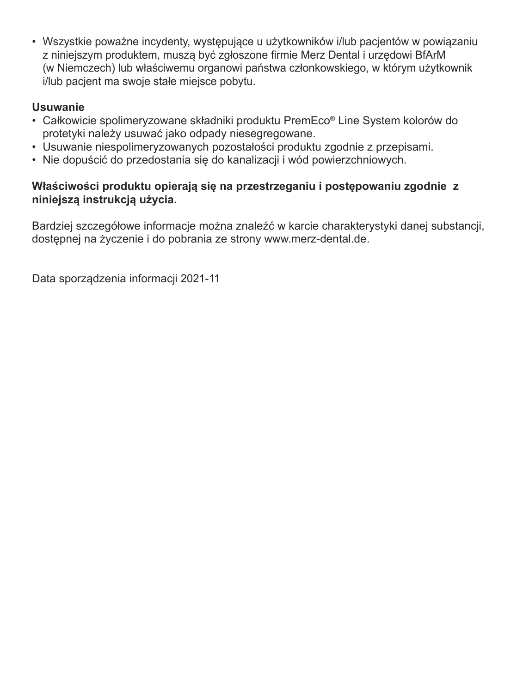• Wszystkie poważne incydenty, występujące u użytkowników i/lub pacjentów w powiązaniu z niniejszym produktem, muszą być zgłoszone firmie Merz Dental i urzędowi BfArM (w Niemczech) lub właściwemu organowi państwa członkowskiego, w którym użytkownik i/lub pacjent ma swoje stałe miejsce pobytu.

### **Usuwanie**

- Całkowicie spolimeryzowane składniki produktu PremEco® Line System kolorów do protetyki należy usuwać jako odpady niesegregowane.
- Usuwanie niespolimeryzowanych pozostałości produktu zgodnie z przepisami.
- Nie dopuścić do przedostania się do kanalizacji i wód powierzchniowych.

### **Właściwości produktu opierają się na przestrzeganiu i postępowaniu zgodnie z niniejszą instrukcją użycia.**

Bardziej szczegółowe informacje można znaleźć w karcie charakterystyki danej substancji, dostępnej na życzenie i do pobrania ze strony www.merz-dental.de.

Data sporządzenia informacji 2021-11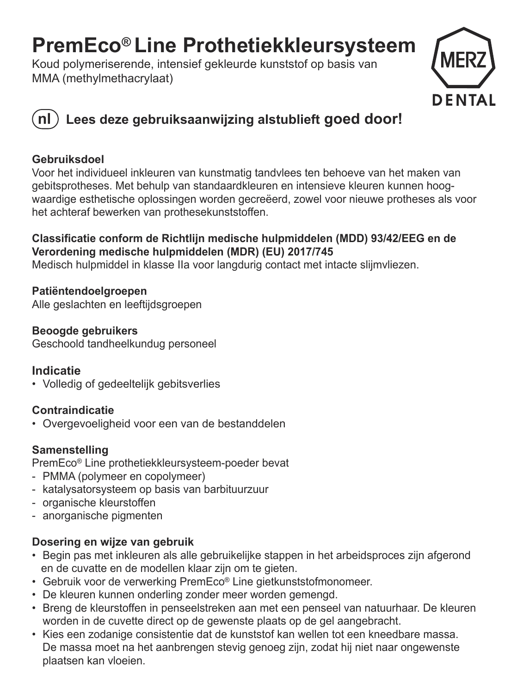## **PremEco® Line Prothetiekkleursysteem**

Koud polymeriserende, intensief gekleurde kunststof op basis van MMA (methylmethacrylaat)



### **nl Lees deze gebruiksaanwijzing alstublieft goed door!**

### **Gebruiksdoel**

Voor het individueel inkleuren van kunstmatig tandvlees ten behoeve van het maken van gebitsprotheses. Met behulp van standaardkleuren en intensieve kleuren kunnen hoogwaardige esthetische oplossingen worden gecreëerd, zowel voor nieuwe protheses als voor het achteraf bewerken van prothesekunststoffen.

### **Classificatie conform de Richtlijn medische hulpmiddelen (MDD) 93/42/EEG en de Verordening medische hulpmiddelen (MDR) (EU) 2017/745**

Medisch hulpmiddel in klasse IIa voor langdurig contact met intacte slijmvliezen.

**Patiëntendoelgroepen**  Alle geslachten en leeftijdsgroepen

**Beoogde gebruikers** Geschoold tandheelkundug personeel

### **Indicatie**

• Volledig of gedeeltelijk gebitsverlies

### **Contraindicatie**

• Overgevoeligheid voor een van de bestanddelen

### **Samenstelling**

PremEco® Line prothetiekkleursysteem-poeder bevat

- PMMA (polymeer en copolymeer)
- katalysatorsysteem op basis van barbituurzuur
- organische kleurstoffen
- anorganische pigmenten

### **Dosering en wijze van gebruik**

- Begin pas met inkleuren als alle gebruikelijke stappen in het arbeidsproces zijn afgerond en de cuvatte en de modellen klaar zijn om te gieten.
- Gebruik voor de verwerking PremEco® Line gietkunststofmonomeer.
- De kleuren kunnen onderling zonder meer worden gemengd.
- Breng de kleurstoffen in penseelstreken aan met een penseel van natuurhaar. De kleuren worden in de cuvette direct op de gewenste plaats op de gel aangebracht.
- Kies een zodanige consistentie dat de kunststof kan wellen tot een kneedbare massa. De massa moet na het aanbrengen stevig genoeg zijn, zodat hij niet naar ongewenste plaatsen kan vloeien.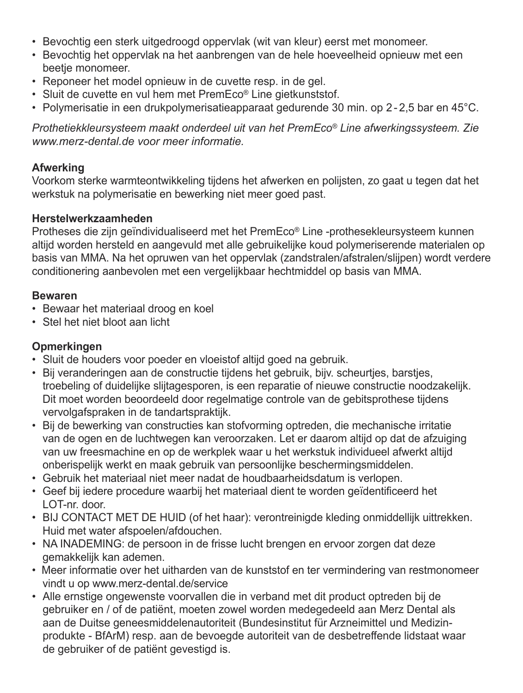- Bevochtig een sterk uitgedroogd oppervlak (wit van kleur) eerst met monomeer.
- Bevochtig het oppervlak na het aanbrengen van de hele hoeveelheid opnieuw met een beetje monomeer.
- Reponeer het model opnieuw in de cuvette resp. in de gel.
- Sluit de cuvette en vul hem met PremEco® Line gietkunststof.
- Polymerisatie in een drukpolymerisatieapparaat gedurende 30 min. op 2 2,5 bar en 45°C.

*Prothetiekkleursysteem maakt onderdeel uit van het PremEco® Line afwerkingssysteem. Zie www.merz-dental.de voor meer informatie.*

### **Afwerking**

Voorkom sterke warmteontwikkeling tijdens het afwerken en polijsten, zo gaat u tegen dat het werkstuk na polymerisatie en bewerking niet meer goed past.

### **Herstelwerkzaamheden**

Protheses die zijn geïndividualiseerd met het PremEco® Line -prothesekleursysteem kunnen altijd worden hersteld en aangevuld met alle gebruikelijke koud polymeriserende materialen op basis van MMA. Na het opruwen van het oppervlak (zandstralen/afstralen/slijpen) wordt verdere conditionering aanbevolen met een vergelijkbaar hechtmiddel op basis van MMA.

### **Bewaren**

- Bewaar het materiaal droog en koel
- Stel het niet bloot aan licht

### **Opmerkingen**

- Sluit de houders voor poeder en vloeistof altijd goed na gebruik.
- Bij veranderingen aan de constructie tijdens het gebruik, bijv. scheurtjes, barstjes, troebeling of duidelijke slijtagesporen, is een reparatie of nieuwe constructie noodzakelijk. Dit moet worden beoordeeld door regelmatige controle van de gebitsprothese tijdens vervolgafspraken in de tandartspraktijk.
- Bij de bewerking van constructies kan stofvorming optreden, die mechanische irritatie van de ogen en de luchtwegen kan veroorzaken. Let er daarom altijd op dat de afzuiging van uw freesmachine en op de werkplek waar u het werkstuk individueel afwerkt altijd onberispelijk werkt en maak gebruik van persoonlijke beschermingsmiddelen.
- Gebruik het materiaal niet meer nadat de houdbaarheidsdatum is verlopen.
- Geef bij iedere procedure waarbij het materiaal dient te worden geïdentificeerd het LOT-nr. door.
- BIJ CONTACT MET DE HUID (of het haar): verontreinigde kleding onmiddellijk uittrekken. Huid met water afspoelen/afdouchen.
- NA INADEMING: de persoon in de frisse lucht brengen en ervoor zorgen dat deze gemakkelijk kan ademen.
- Meer informatie over het uitharden van de kunststof en ter vermindering van restmonomeer vindt u op www.merz-dental.de/service
- Alle ernstige ongewenste voorvallen die in verband met dit product optreden bij de gebruiker en / of de patiënt, moeten zowel worden medegedeeld aan Merz Dental als aan de Duitse geneesmiddelenautoriteit (Bundesinstitut für Arzneimittel und Medizinprodukte - BfArM) resp. aan de bevoegde autoriteit van de desbetreffende lidstaat waar de gebruiker of de patiënt gevestigd is.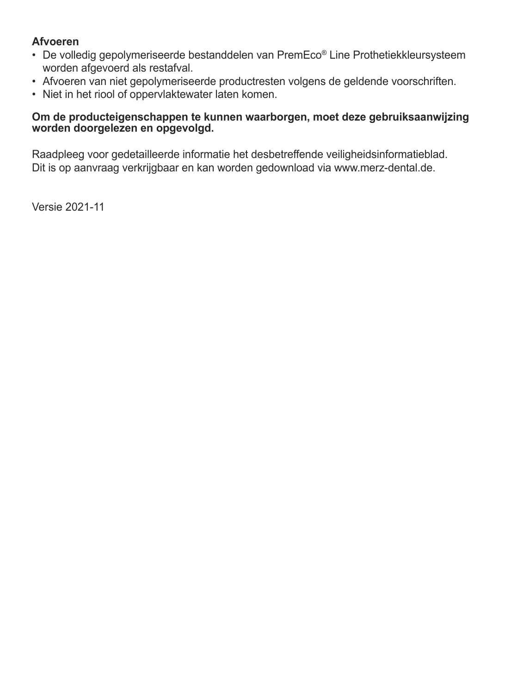### **Afvoeren**

- De volledig gepolymeriseerde bestanddelen van PremEco® Line Prothetiekkleursysteem worden afgevoerd als restafval.
- Afvoeren van niet gepolymeriseerde productresten volgens de geldende voorschriften.
- Niet in het riool of oppervlaktewater laten komen.

### **Om de producteigenschappen te kunnen waarborgen, moet deze gebruiksaanwijzing worden doorgelezen en opgevolgd.**

Raadpleeg voor gedetailleerde informatie het desbetreffende veiligheidsinformatieblad. Dit is op aanvraag verkrijgbaar en kan worden gedownload via www.merz-dental.de.

Versie 2021-11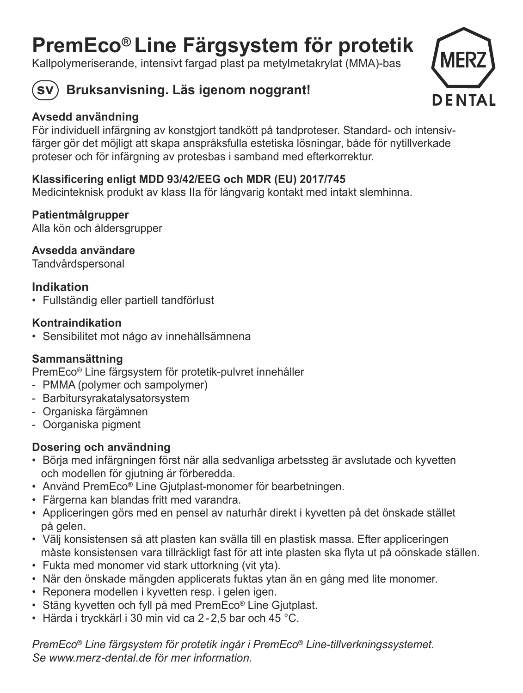## **PremEco® Line Färgsystem för protetik**

Kallpolymeriserande, intensivt fargad plast pa metylmetakrylat (MMA)-bas



### **sv Bruksanvisning. Läs igenom noggrant!**



### **Avsedd användning**

För individuell infärgning av konstgjort tandkött på tandproteser. Standard- och intensivfärger gör det möjligt att skapa anspråksfulla estetiska lösningar, både för nytillverkade proteser och för infärgning av protesbas i samband med efterkorrektur.

### **Klassificering enligt MDD 93/42/EEG och MDR (EU) 2017/745**

Medicinteknisk produkt av klass IIa för långvarig kontakt med intakt slemhinna.

### **Patientmålgrupper**

Alla kön och åldersgrupper

**Avsedda användare**Tandvårdspersonal

### **Indikation**

• Fullständig eller partiell tandförlust

### **Kontraindikation**

• Sensibilitet mot någo av innehållsämnena

### **Sammansättning**

PremEco® Line färgsystem för protetik-pulvret innehåller

- PMMA (polymer och sampolymer)
- Barbitursyrakatalysatorsystem
- Organiska färgämnen
- Oorganiska pigment

### **Dosering och användning**

- Börja med infärgningen först när alla sedvanliga arbetssteg är avslutade och kyvetten och modellen för gjutning är förberedda.
- Använd PremEco® Line Gjutplast-monomer för bearbetningen.
- Färgerna kan blandas fritt med varandra.
- Appliceringen görs med en pensel av naturhår direkt i kyvetten på det önskade stället på gelen.
- Välj konsistensen så att plasten kan svälla till en plastisk massa. Efter appliceringen måste konsistensen vara tillräckligt fast för att inte plasten ska flyta ut på oönskade ställen.
- Fukta med monomer vid stark uttorkning (vit yta).
- När den önskade mängden applicerats fuktas ytan än en gång med lite monomer.
- Reponera modellen i kyvetten resp. i gelen igen.
- Stäng kyvetten och fyll på med PremEco® Line Gjutplast.
- Härda i tryckkärl i 30 min vid ca 2 2,5 bar och 45 °C.

*PremEco® Line färgsystem för protetik ingår i PremEco® Line-tillverkningssystemet. Se www.merz-dental.de för mer information.*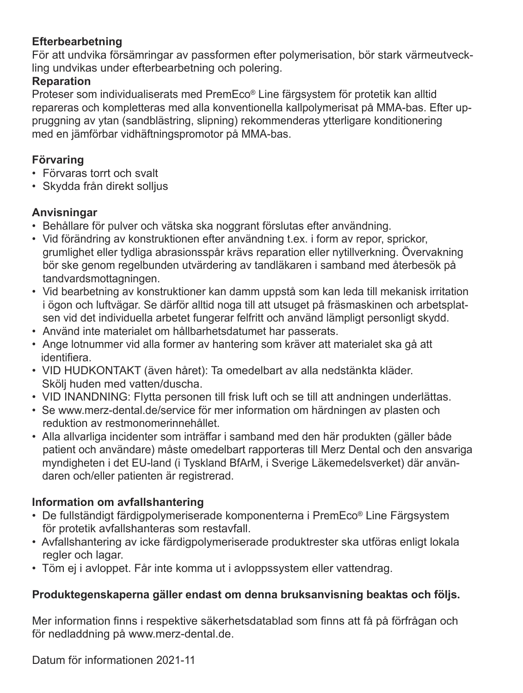### **Efterbearbetning**

För att undvika försämringar av passformen efter polymerisation, bör stark värmeutveckling undvikas under efterbearbetning och polering.

### **Reparation**

Proteser som individualiserats med PremEco® Line färgsystem för protetik kan alltid repareras och kompletteras med alla konventionella kallpolymerisat på MMA-bas. Efter uppruggning av ytan (sandblästring, slipning) rekommenderas ytterligare konditionering med en jämförbar vidhäftningspromotor på MMA-bas.

### **Förvaring**

- Förvaras torrt och svalt
- Skydda från direkt solljus

### **Anvisningar**

- Behållare för pulver och vätska ska noggrant förslutas efter användning.
- Vid förändring av konstruktionen efter användning t.ex. i form av repor, sprickor, grumlighet eller tydliga abrasionsspår krävs reparation eller nytillverkning. Övervakning bör ske genom regelbunden utvärdering av tandläkaren i samband med återbesök på tandvardsmottagningen.
- Vid bearbetning av konstruktioner kan damm uppstå som kan leda till mekanisk irritation i ögon och luftvägar. Se därför alltid noga till att utsuget på fräsmaskinen och arbetsplatsen vid det individuella arbetet fungerar felfritt och använd lämpligt personligt skydd.
- Använd inte materialet om hållbarhetsdatumet har passerats.
- Ange lotnummer vid alla former av hantering som kräver att materialet ska gå att identifiera.
- VID HUDKONTAKT (även håret): Ta omedelbart av alla nedstänkta kläder. Skölj huden med vatten/duscha.
- VID INANDNING: Flytta personen till frisk luft och se till att andningen underlättas.
- Se www.merz-dental.de/service för mer information om härdningen av plasten och reduktion av restmonomerinnehållet.
- Alla allvarliga incidenter som inträffar i samband med den här produkten (gäller både patient och användare) måste omedelbart rapporteras till Merz Dental och den ansvariga myndigheten i det EU-land (i Tyskland BfArM, i Sverige Läkemedelsverket) där användaren och/eller patienten är registrerad.

### **Information om avfallshantering**

- De fullständigt färdigpolymeriserade komponenterna i PremEco® Line Färgsystem för protetik avfallshanteras som restavfall.
- Avfallshantering av icke färdigpolymeriserade produktrester ska utföras enligt lokala regler och lagar.
- Töm ej i avloppet. Får inte komma ut i avloppssystem eller vattendrag.

### **Produktegenskaperna gäller endast om denna bruksanvisning beaktas och följs.**

Mer information finns i respektive säkerhetsdatablad som finns att få på förfrågan och för nedladdning på www.merz-dental.de.

Datum för informationen 2021-11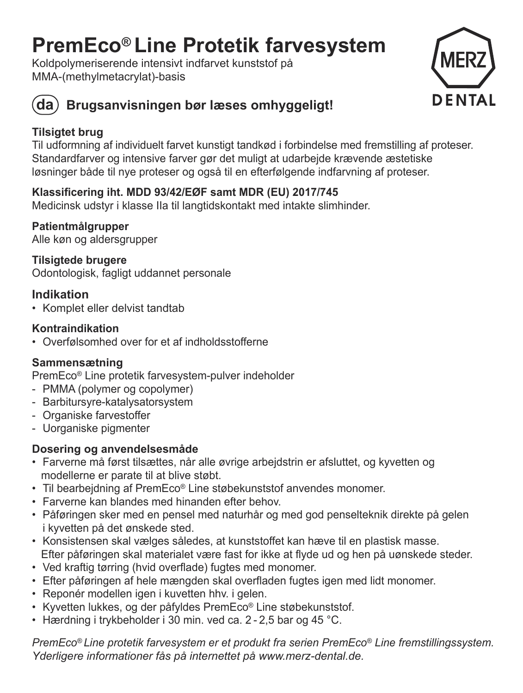## **PremEco® Line Protetik farvesystem**

Koldpolymeriserende intensivt indfarvet kunststof på MMA-(methylmetacrylat)-basis





### **da Brugsanvisningen bør læses omhyggeligt!**

### **Tilsigtet brug**

Til udformning af individuelt farvet kunstigt tandkød i forbindelse med fremstilling af proteser. Standardfarver og intensive farver gør det muligt at udarbejde krævende æstetiske løsninger både til nye proteser og også til en efterfølgende indfarvning af proteser.

### **Klassificering iht. MDD 93/42/EØF samt MDR (EU) 2017/745**

Medicinsk udstyr i klasse IIa til langtidskontakt med intakte slimhinder.

### **Patientmålgrupper**

Alle køn og aldersgrupper

### **Tilsigtede brugere**

Odontologisk, fagligt uddannet personale

### **Indikation**

• Komplet eller delvist tandtab

### **Kontraindikation**

• Overfølsomhed over for et af indholdsstofferne

### **Sammensætning**

PremEco® Line protetik farvesystem-pulver indeholder

- PMMA (polymer og copolymer)
- Barbitursyre-katalysatorsystem
- Organiske farvestoffer
- Uorganiske pigmenter

### **Dosering og anvendelsesmåde**

- Farverne må først tilsættes, når alle øvrige arbejdstrin er afsluttet, og kyvetten og modellerne er parate til at blive støbt.
- Til bearbejdning af PremEco® Line støbekunststof anvendes monomer.
- Farverne kan blandes med hinanden efter behov.
- Påføringen sker med en pensel med naturhår og med god penselteknik direkte på gelen i kyvetten på det ønskede sted.
- Konsistensen skal vælges således, at kunststoffet kan hæve til en plastisk masse. Efter påføringen skal materialet være fast for ikke at flyde ud og hen på uønskede steder.
- Ved kraftig tørring (hvid overflade) fugtes med monomer.
- Efter påføringen af hele mængden skal overfladen fugtes igen med lidt monomer.
- Reponér modellen igen i kuvetten hhv. i gelen.
- Kyvetten lukkes, og der påfyldes PremEco® Line støbekunststof.
- Hærdning i trykbeholder i 30 min. ved ca. 2 2,5 bar og 45 °C.

*PremEco® Line protetik farvesystem er et produkt fra serien PremEco® Line fremstillingssystem. Yderligere informationer fås på internettet på www.merz-dental.de.*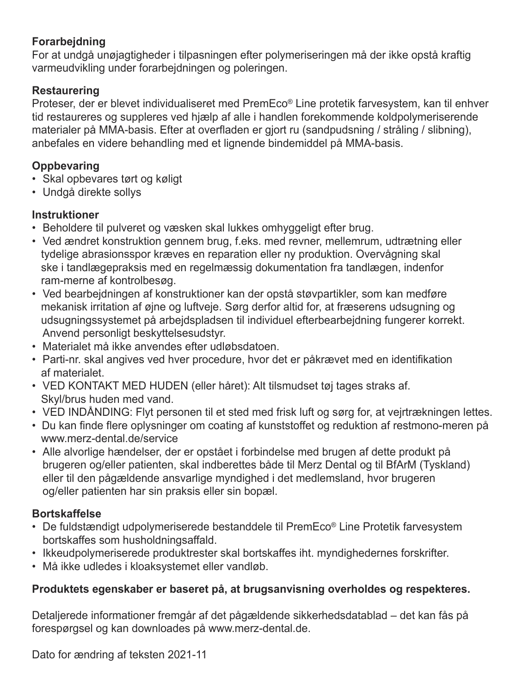### **Forarbejdning**

For at undgå unøjagtigheder i tilpasningen efter polymeriseringen må der ikke opstå kraftig varmeudvikling under forarbejdningen og poleringen.

### **Restaurering**

Proteser, der er blevet individualiseret med PremEco® Line protetik farvesystem, kan til enhver tid restaureres og suppleres ved hjælp af alle i handlen forekommende koldpolymeriserende materialer på MMA-basis. Efter at overfladen er gjort ru (sandpudsning / stråling / slibning), anbefales en videre behandling med et lignende bindemiddel på MMA-basis.

### **Oppbevaring**

- Skal opbevares tørt og køligt
- Undgå direkte sollys

### **Instruktioner**

- Beholdere til pulveret og væsken skal lukkes omhyggeligt efter brug.
- Ved ændret konstruktion gennem brug, f.eks. med revner, mellemrum, udtrætning eller tydelige abrasionsspor kræves en reparation eller ny produktion. Overvågning skal ske i tandlægepraksis med en regelmæssig dokumentation fra tandlægen, indenfor ram-merne af kontrolbesøg.
- Ved bearbejdningen af konstruktioner kan der opstå støvpartikler, som kan medføre mekanisk irritation af øjne og luftveje. Sørg derfor altid for, at fræserens udsugning og udsugningssystemet på arbejdspladsen til individuel efterbearbejdning fungerer korrekt. Anvend personligt beskyttelsesudstyr.
- Materialet må ikke anvendes efter udløbsdatoen.
- Parti-nr. skal angives ved hver procedure, hvor det er påkrævet med en identifikation af materialet.
- VED KONTAKT MED HUDEN (eller håret): Alt tilsmudset tøj tages straks af. Skyl/brus huden med vand.
- VED INDÅNDING: Flyt personen til et sted med frisk luft og sørg for, at vejrtrækningen lettes.
- Du kan finde flere oplysninger om coating af kunststoffet og reduktion af restmono-meren på www.merz-dental.de/service
- Alle alvorlige hændelser, der er opstået i forbindelse med brugen af dette produkt på brugeren og/eller patienten, skal indberettes både til Merz Dental og til BfArM (Tyskland) eller til den pågældende ansvarlige myndighed i det medlemsland, hvor brugeren og/eller patienten har sin praksis eller sin bopæl.

### **Bortskaffelse**

- De fuldstændigt udpolymeriserede bestanddele til PremEco® Line Protetik farvesystem bortskaffes som husholdningsaffald.
- Ikkeudpolymeriserede produktrester skal bortskaffes iht. myndighedernes forskrifter.
- Må ikke udledes i kloaksystemet eller vandløb.

### **Produktets egenskaber er baseret på, at brugsanvisning overholdes og respekteres.**

Detaljerede informationer fremgår af det pågældende sikkerhedsdatablad – det kan fås på forespørgsel og kan downloades på www.merz-dental.de.

Dato for ændring af teksten 2021-11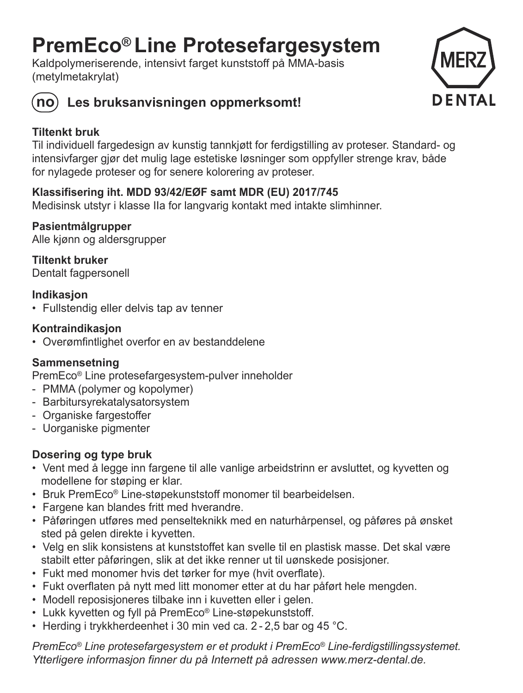## **PremEco® Line Protesefargesystem**

Kaldpolymeriserende, intensivt farget kunststoff på MMA-basis (metylmetakrylat)





### **no Les bruksanvisningen oppmerksomt!**

### **Tiltenkt bruk**

Til individuell fargedesign av kunstig tannkjøtt for ferdigstilling av proteser. Standard- og intensivfarger gjør det mulig lage estetiske løsninger som oppfyller strenge krav, både for nylagede proteser og for senere kolorering av proteser.

### **Klassifisering iht. MDD 93/42/EØF samt MDR (EU) 2017/745**

Medisinsk utstyr i klasse IIa for langvarig kontakt med intakte slimhinner.

### **Pasientmålgrupper**

Alle kjønn og aldersgrupper

**Tiltenkt bruker** Dentalt fagpersonell

### **Indikasjon**

• Fullstendig eller delvis tap av tenner

### **Kontraindikasjon**

• Overømfintlighet overfor en av bestanddelene

### **Sammensetning**

PremEco® Line protesefargesystem-pulver inneholder

- PMMA (polymer og kopolymer)
- Barbitursyrekatalysatorsystem
- Organiske fargestoffer
- Uorganiske pigmenter

### **Dosering og type bruk**

- Vent med å legge inn fargene til alle vanlige arbeidstrinn er avsluttet, og kyvetten og modellene for støping er klar.
- Bruk PremEco® Line-støpekunststoff monomer til bearbeidelsen.
- Fargene kan blandes fritt med hverandre.
- Påføringen utføres med penselteknikk med en naturhårpensel, og påføres på ønsket sted på gelen direkte i kyvetten.
- Velg en slik konsistens at kunststoffet kan svelle til en plastisk masse. Det skal være stabilt etter påføringen, slik at det ikke renner ut til uønskede posisjoner.
- Fukt med monomer hvis det tørker for mye (hvit overflate).
- Fukt overflaten på nytt med litt monomer etter at du har påført hele mengden.
- Modell reposisjoneres tilbake inn i kuvetten eller i gelen.
- Lukk kyvetten og fyll på PremEco® Line-støpekunststoff.
- Herding i trykkherdeenhet i 30 min ved ca. 2 2,5 bar og 45 °C.

*PremEco® Line protesefargesystem er et produkt i PremEco® Line-ferdigstillingssystemet. Ytterligere informasjon finner du på Internett på adressen www.merz-dental.de.*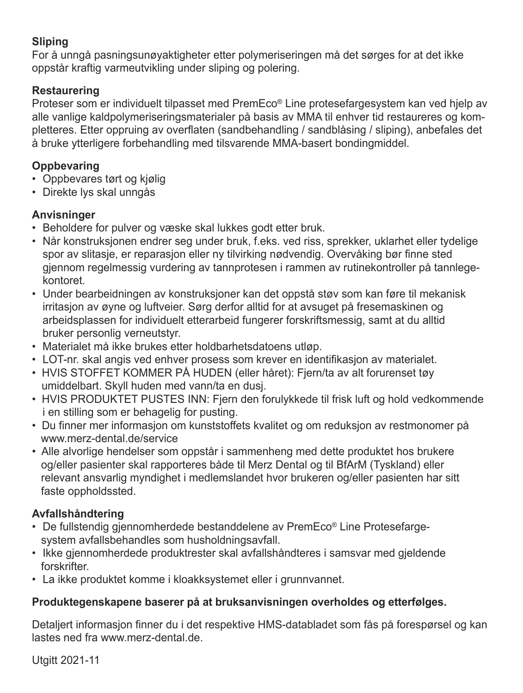### **Sliping**

For å unngå pasningsunøyaktigheter etter polymeriseringen må det sørges for at det ikke oppstår kraftig varmeutvikling under sliping og polering.

### **Restaurering**

Proteser som er individuelt tilpasset med PremEco® Line protesefargesystem kan ved hjelp av alle vanlige kaldpolymeriseringsmaterialer på basis av MMA til enhver tid restaureres og kompletteres. Etter oppruing av overflaten (sandbehandling / sandblåsing / sliping), anbefales det å bruke ytterligere forbehandling med tilsvarende MMA-basert bondingmiddel.

### **Oppbevaring**

- Oppbevares tørt og kjølig
- Direkte lys skal unngås

### **Anvisninger**

- Beholdere for pulver og væske skal lukkes godt etter bruk.
- Når konstruksjonen endrer seg under bruk, f.eks. ved riss, sprekker, uklarhet eller tydelige spor av slitasje, er reparasjon eller ny tilvirking nødvendig. Overvåking bør finne sted gjennom regelmessig vurdering av tannprotesen i rammen av rutinekontroller på tannlegekontoret.
- Under bearbeidningen av konstruksjoner kan det oppstå støv som kan føre til mekanisk irritasjon av øyne og luftveier. Sørg derfor alltid for at avsuget på fresemaskinen og arbeidsplassen for individuelt etterarbeid fungerer forskriftsmessig, samt at du alltid bruker personlig verneutstyr.
- Materialet må ikke brukes etter holdbarhetsdatoens utløp.
- LOT-nr. skal angis ved enhver prosess som krever en identifikasjon av materialet.
- HVIS STOFFET KOMMER PÅ HUDEN (eller håret): Fjern/ta av alt forurenset tøy umiddelbart. Skyll huden med vann/ta en dusj.
- HVIS PRODUKTET PUSTES INN: Fjern den forulykkede til frisk luft og hold vedkommende i en stilling som er behagelig for pusting.
- Du finner mer informasjon om kunststoffets kvalitet og om reduksjon av restmonomer på www.merz-dental.de/service
- Alle alvorlige hendelser som oppstår i sammenheng med dette produktet hos brukere og/eller pasienter skal rapporteres både til Merz Dental og til BfArM (Tyskland) eller relevant ansvarlig myndighet i medlemslandet hvor brukeren og/eller pasienten har sitt faste oppholdssted.

### **Avfallshåndtering**

- De fullstendig gjennomherdede bestanddelene av PremEco® Line Protesefarge system avfallsbehandles som husholdningsavfall.
- Ikke gjennomherdede produktrester skal avfallshåndteres i samsvar med gjeldende forskrifter.
- La ikke produktet komme i kloakksystemet eller i grunnvannet.

### **Produktegenskapene baserer på at bruksanvisningen overholdes og etterfølges.**

Detaljert informasjon finner du i det respektive HMS-databladet som fås på forespørsel og kan lastes ned fra www.merz-dental.de.

Utgitt 2021-11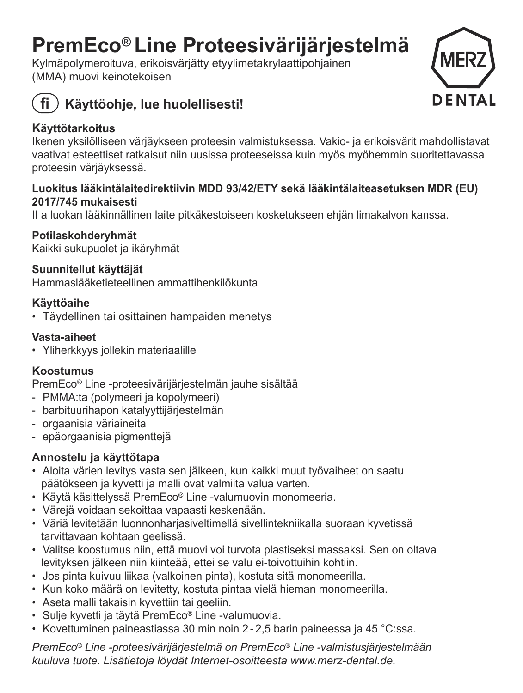## **PremEco® Line Proteesivärijärjestelmä**

Kylmäpolymeroituva, erikoisvärjätty etyylimetakrylaattipohjainen (MMA) muovi keinotekoisen



### **fi Käyttöohje, lue huolellisesti!**

### **Käyttötarkoitus**

Ikenen yksilölliseen värjäykseen proteesin valmistuksessa. Vakio- ja erikoisvärit mahdollistavat vaativat esteettiset ratkaisut niin uusissa proteeseissa kuin myös myöhemmin suoritettavassa proteesin värjäyksessä.

### **Luokitus lääkintälaitedirektiivin MDD 93/42/ETY sekä lääkintälaiteasetuksen MDR (EU) 2017/745 mukaisesti**

II a luokan lääkinnällinen laite pitkäkestoiseen kosketukseen ehjän limakalvon kanssa.

### **Potilaskohderyhmät**

Kaikki sukupuolet ja ikäryhmät

### **Suunnitellut käyttäjät**

Hammaslääketieteellinen ammattihenkilökunta

### **Käyttöaihe**

• Täydellinen tai osittainen hampaiden menetys

### **Vasta-aiheet**

• Yliherkkyys jollekin materiaalille

### **Koostumus**

PremEco® Line -proteesivärijärjestelmän jauhe sisältää

- PMMA:ta (polymeeri ja kopolymeeri)
- barbituurihapon katalyyttijärjestelmän
- orgaanisia väriaineita
- epäorgaanisia pigmenttejä

### **Annostelu ja käyttötapa**

- Aloita värien levitys vasta sen jälkeen, kun kaikki muut työvaiheet on saatu päätökseen ja kyvetti ja malli ovat valmiita valua varten.
- Käytä käsittelyssä PremEco® Line -valumuovin monomeeria.
- Värejä voidaan sekoittaa vapaasti keskenään.
- Väriä levitetään luonnonharjasiveltimellä sivellintekniikalla suoraan kyvetissä tarvittavaan kohtaan geelissä.
- Valitse koostumus niin, että muovi voi turvota plastiseksi massaksi. Sen on oltava levityksen jälkeen niin kiinteää, ettei se valu ei-toivottuihin kohtiin.
- Jos pinta kuivuu liikaa (valkoinen pinta), kostuta sitä monomeerilla.
- Kun koko määrä on levitetty, kostuta pintaa vielä hieman monomeerilla.
- Aseta malli takaisin kyvettiin tai geeliin.
- Sulje kyvetti ja täytä PremEco® Line -valumuovia.
- Kovettuminen paineastiassa 30 min noin 2 2,5 barin paineessa ja 45 °C:ssa.

*PremEco® Line -proteesivärijärjestelmä on PremEco® Line -valmistusjärjestelmään kuuluva tuote. Lisätietoja löydät Internet-osoitteesta www.merz-dental.de.*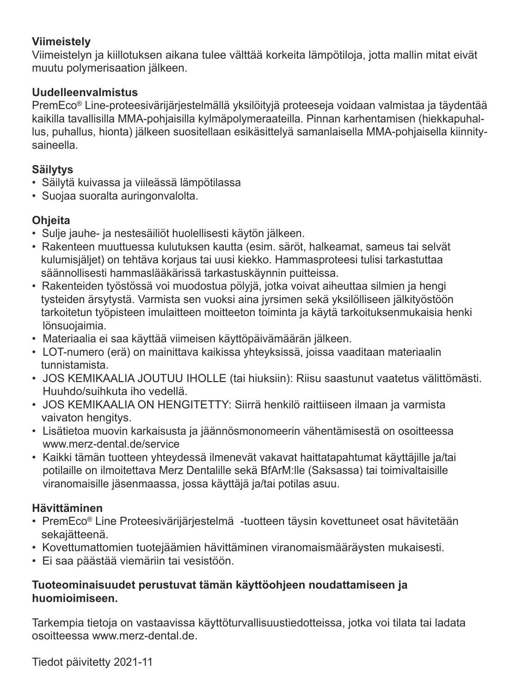### **Viimeistely**

Viimeistelyn ja kiillotuksen aikana tulee välttää korkeita lämpötiloja, jotta mallin mitat eivät muutu polymerisaation jälkeen.

### **Uudelleenvalmistus**

 PremEco® Line-proteesivärijärjestelmällä yksilöityjä proteeseja voidaan valmistaa ja täydentää kaikilla tavallisilla MMA-pohjaisilla kylmäpolymeraateilla. Pinnan karhentamisen (hiekkapuhallus, puhallus, hionta) jälkeen suositellaan esikäsittelyä samanlaisella MMA-pohjaisella kiinnitysaineella.

### **Säilytys**

- Säilytä kuivassa ja viileässä lämpötilassa
- Suojaa suoralta auringonvalolta.

### **Ohjeita**

- Sulje jauhe- ja nestesäiliöt huolellisesti käytön jälkeen.
- Rakenteen muuttuessa kulutuksen kautta (esim. säröt, halkeamat, sameus tai selvät kulumisjäljet) on tehtäva korjaus tai uusi kiekko. Hammasproteesi tulisi tarkastuttaa säännollisesti hammaslääkärissä tarkastuskäynnin puitteissa.
- Rakenteiden työstössä voi muodostua pölyjä, jotka voivat aiheuttaa silmien ja hengi tysteiden ärsytystä. Varmista sen vuoksi aina jyrsimen sekä yksilölliseen jälkityöstöön tarkoitetun työpisteen imulaitteen moitteeton toiminta ja käytä tarkoituksenmukaisia henki lönsuojaimia.
- Materiaalia ei saa käyttää viimeisen käyttöpäivämäärän jälkeen.
- LOT-numero (erä) on mainittava kaikissa yhteyksissä, joissa vaaditaan materiaalin tunnistamista.
- JOS KEMIKAALIA JOUTUU IHOLLE (tai hiuksiin): Riisu saastunut vaatetus välittömästi. Huuhdo/suihkuta iho vedellä.
- JOS KEMIKAALIA ON HENGITETTY: Siirrä henkilö raittiiseen ilmaan ja varmista vaivaton hengitys.
- Lisätietoa muovin karkaisusta ja jäännösmonomeerin vähentämisestä on osoitteessa www.merz-dental.de/service
- Kaikki tämän tuotteen yhteydessä ilmenevät vakavat haittatapahtumat käyttäjille ja/tai potilaille on ilmoitettava Merz Dentalille sekä BfArM:lle (Saksassa) tai toimivaltaisille viranomaisille jäsenmaassa, jossa käyttäjä ja/tai potilas asuu.

### **Hävittäminen**

- PremEco® Line Proteesivärijärjestelmä -tuotteen täysin kovettuneet osat hävitetään sekajätteenä.
- Kovettumattomien tuotejäämien hävittäminen viranomaismääräysten mukaisesti.
- Ei saa päästää viemäriin tai vesistöön.

### **Tuoteominaisuudet perustuvat tämän käyttöohjeen noudattamiseen ja huomioimiseen.**

Tarkempia tietoja on vastaavissa käyttöturvallisuustiedotteissa, jotka voi tilata tai ladata osoitteessa www.merz-dental.de.

Tiedot päivitetty 2021-11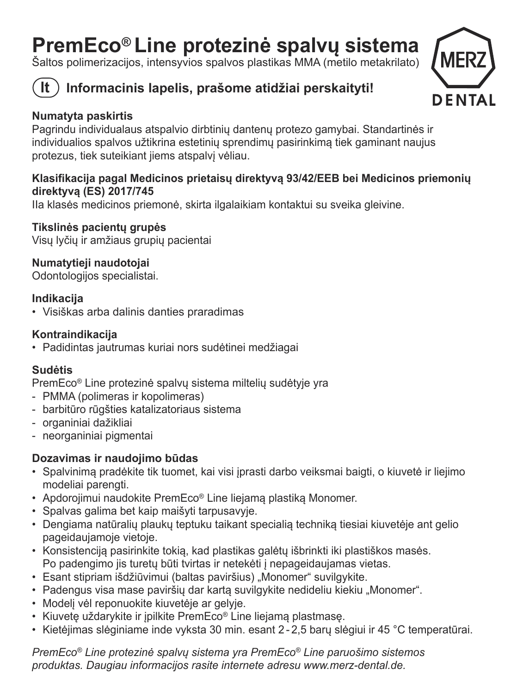# **PremEco® Line protezinė spalvų sistema** Šaltos polimerizacijos, intensyvios spalvos plastikas MMA (metilo metakrilato)



### **lt Informacinis lapelis, prašome atidžiai perskaityti!**



### **Numatyta paskirtis**

Pagrindu individualaus atspalvio dirbtinių dantenų protezo gamybai. Standartinės ir individualios spalvos užtikrina estetinių sprendimų pasirinkimą tiek gaminant naujus protezus, tiek suteikiant jiems atspalvį vėliau.

### **Klasifikacija pagal Medicinos prietaisų direktyvą 93/42/EEB bei Medicinos priemonių direktyvą (ES) 2017/745**

IIa klasės medicinos priemonė, skirta ilgalaikiam kontaktui su sveika gleivine.

### **Tikslinės pacientų grupė<sup>s</sup>**

Visų lyčių ir amžiaus grupių pacientai

### **Numatytieji naudotojai**

Odontologijos specialistai.

### **Indikacija**

• Visiškas arba dalinis danties praradimas

### **Kontraindikacija**

• Padidintas jautrumas kuriai nors sudėtinei medžiagai

### **Sudėtis**

PremEco® Line protezinė spalvų sistema miltelių sudėtyje yra

- PMMA (polimeras ir kopolimeras)
- barbitūro rūgšties katalizatoriaus sistema
- organiniai dažikliai
- neorganiniai pigmentai

### **Dozavimas ir naudojimo būdas**

- Spalvinimą pradėkite tik tuomet, kai visi įprasti darbo veiksmai baigti, o kiuvetė ir liejimo modeliai parengti.
- Apdorojimui naudokite PremEco® Line liejamą plastiką Monomer.
- Spalvas galima bet kaip maišyti tarpusavyje.
- Dengiama natūralių plaukų teptuku taikant specialią techniką tiesiai kiuvetėje ant gelio pageidaujamoje vietoje.
- Konsistenciją pasirinkite tokią, kad plastikas galėtų išbrinkti iki plastiškos masės. Po padengimo jis turetų būti tvirtas ir netekėti į nepageidaujamas vietas.
- Esant stipriam išdžiūvimui (baltas paviršius) "Monomer" suvilgykite.
- Padengus visa mase paviršių dar kartą suvilgykite nedideliu kiekiu "Monomer".
- Modelį vėl reponuokite kiuvetėje ar gelyje.
- Kiuvetę uždarykite ir įpilkite PremEco® Line liejamą plastmasę.
- Kietėjimas slėginiame inde vyksta 30 min. esant 2 2,5 barų slėgiui ir 45 °C temperatūrai.

*PremEco® Line protezinė spalvų sistema yra PremEco® Line paruošimo sistemos produktas. Daugiau informacijos rasite internete adresu www.merz-dental.de.*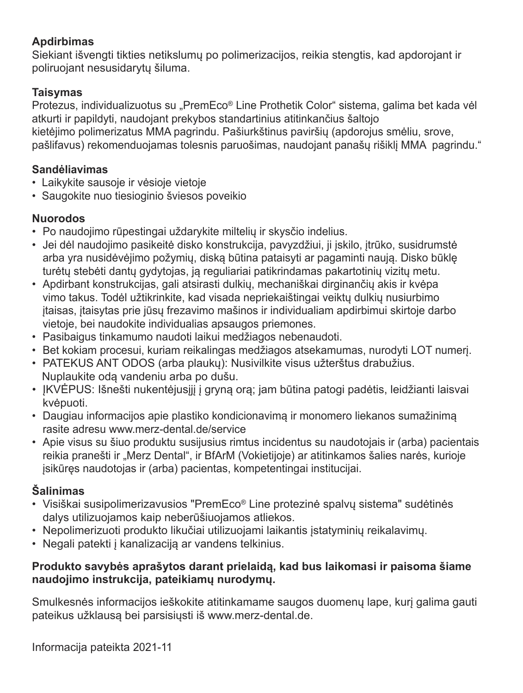### **Apdirbimas**

Siekiant išvengti tikties netikslumų po polimerizacijos, reikia stengtis, kad apdorojant ir poliruojant nesusidarytų šiluma.

### **Taisymas**

Protezus, individualizuotus su "PremEco® Line Prothetik Color" sistema, galima bet kada vėl atkurti ir papildyti, naudojant prekybos standartinius atitinkančius šaltojo kietėjimo polimerizatus MMA pagrindu. Pašiurkštinus paviršių (apdorojus smėliu, srove, pašlifavus) rekomenduojamas tolesnis paruošimas, naudojant panašų rišiklį MMA pagrindu."

### **Sandėliavimas**

- Laikykite sausoje ir vėsioje vietoje
- Saugokite nuo tiesioginio šviesos poveikio

### **Nuorodos**

- Po naudojimo rūpestingai uždarykite miltelių ir skysčio indelius.
- Jei dėl naudojimo pasikeitė disko konstrukcija, pavyzdžiui, ji įskilo, įtrūko, susidrumstė arba yra nusidėvėjimo požymių, diską būtina pataisyti ar pagaminti naują. Disko būklę turėtų stebėti dantų gydytojas, ją reguliariai patikrindamas pakartotinių vizitų metu.
- Apdirbant konstrukcijas, gali atsirasti dulkių, mechaniškai dirginančių akis ir kvėpa vimo takus. Todėl užtikrinkite, kad visada nepriekaištingai veiktų dulkių nusiurbimo įtaisas, įtaisytas prie jūsų frezavimo mašinos ir individualiam apdirbimui skirtoje darbo vietoje, bei naudokite individualias apsaugos priemones.
- Pasibaigus tinkamumo naudoti laikui medžiagos nebenaudoti.
- Bet kokiam procesui, kuriam reikalingas medžiagos atsekamumas, nurodyti LOT numerį.
- PATEKUS ANT ODOS (arba plaukų): Nusivilkite visus užterštus drabužius. Nuplaukite odą vandeniu arba po dušu.
- ĮKVĖPUS: Išnešti nukentėjusįjį į gryną orą; jam būtina patogi padėtis, leidžianti laisvai kvėpuoti.
- Daugiau informacijos apie plastiko kondicionavimą ir monomero liekanos sumažinimą rasite adresu www.merz-dental.de/service
- Apie visus su šiuo produktu susijusius rimtus incidentus su naudotojais ir (arba) pacientais reikia pranešti ir "Merz Dental", ir BfArM (Vokietijoje) ar atitinkamos šalies narės, kurioje įsikūręs naudotojas ir (arba) pacientas, kompetentingai institucijai.

### **Šalinimas**

- Visiškai susipolimerizavusios "PremEco® Line protezinė spalvų sistema" sudėtinė<sup>s</sup> dalys utilizuojamos kaip neberūšiuojamos atliekos.
- Nepolimerizuoti produkto likučiai utilizuojami laikantis įstatyminių reikalavimų.
- Negali patekti į kanalizaciją ar vandens telkinius.

### **Produkto savybės aprašytos darant prielaidą, kad bus laikomasi ir paisoma šiame naudojimo instrukcija, pateikiamų nurodymų.**

Smulkesnės informacijos ieškokite atitinkamame saugos duomenų lape, kurį galima gauti pateikus užklausą bei parsisiųsti iš www.merz-dental.de.

Informacija pateikta 2021-11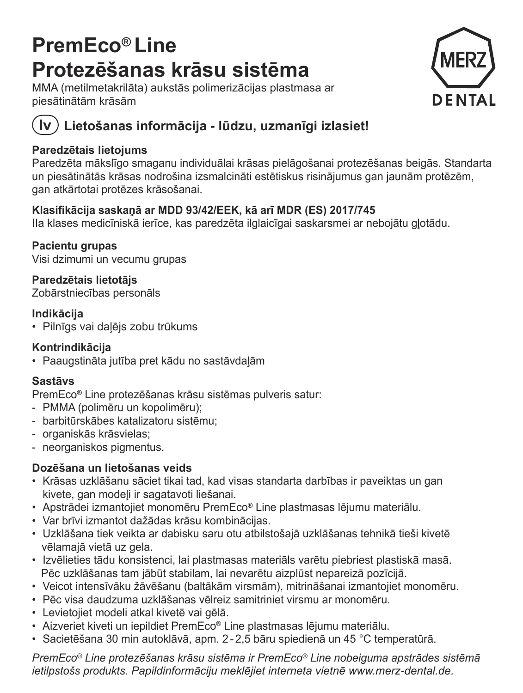## **PremEco® Line Protezēšanas krāsu sistēma**

MMA (metilmetakrilāta) aukstās polimerizācijas plastmasa ar piesātinātām krāsā<sup>m</sup>



### **lv Lietošanas informācija - lūdzu, uzmanīgi izlasiet!**

### **Paredzētais lietojums**

Paredzēta mākslīgo smaganu individuālai krāsas pielāgošanai protezēšanas beigās. Standarta un piesātinātās krāsas nodrošina izsmalcināti estētiskus risinājumus gan jaunām protēzēm, gan atkārtotai protēzes krāsošanai.

### **Klasifikācija saskaņā ar MDD 93/42/EEK, kā arī MDR (ES) 2017/745**

IIa klases medicīniskā ierīce, kas paredzēta ilglaicīgai saskarsmei ar nebojātu gļotādu.

**Pacientu grupas**  Visi dzimumi un vecumu grupas

**Paredzētais lietotājs**  Zobārstniecības personāls

### **Indikācija**

• Pilnīgs vai daļējs zobu trūkums

### **Kontrindikācija**

• Paaugstināta jutība pret kādu no sastāvdaļā<sup>m</sup>

### **Sastāvs**

PremEco® Line protezēšanas krāsu sistēmas pulveris satur:

- PMMA (polimēru un kopolimēru);
- barbitūrskābes katalizatoru sistēmu;
- organiskās krāsvielas;
- neorganiskos pigmentus.

### **Dozēšana un lietošanas veids**

- Krāsas uzklāšanu sāciet tikai tad, kad visas standarta darbības ir paveiktas un gan kivete, gan modeli ir sagatavoti liešanai.
- Apstrādei izmantojiet monomēru PremEco® Line plastmasas lējumu materiālu.
- Var brīvi izmantot dažādas krāsu kombinācijas.
- Uzklāšana tiek veikta ar dabisku saru otu atbilstošajā uzklāšanas tehnikā tieši kivetē <sup>v</sup>ēlamajā vietā uz gela.
- Izvēlieties tādu konsistenci, lai plastmasas materiāls varētu piebriest plastiskā masā. Pēc uzklāšanas tam jābūt stabilam, lai nevarētu aizplūst nepareizā pozīcijā.
- Veicot intensīvāku žāvēšanu (baltākām virsmām), mitrināšanai izmantojiet monomēru.
- Pēc visa daudzuma uzklāšanas vēlreiz samitriniet virsmu ar monomēru.
- Levietojiet modeli atkal kivetē vai gēlā.
- Aizveriet kiveti un iepildiet PremEco® Line plastmasas lējumu materiālu.
- Sacietēšana 30 min autoklāvā, apm. 2 2,5 bāru spiedienā un 45 °C temperatūrā.

*PremEco® Line protezēšanas krāsu sistēma ir PremEco® Line nobeiguma apstrādes sistēmā ietilpstošs produkts. Papildinformāciju meklējiet interneta vietnē www.merz-dental.de.*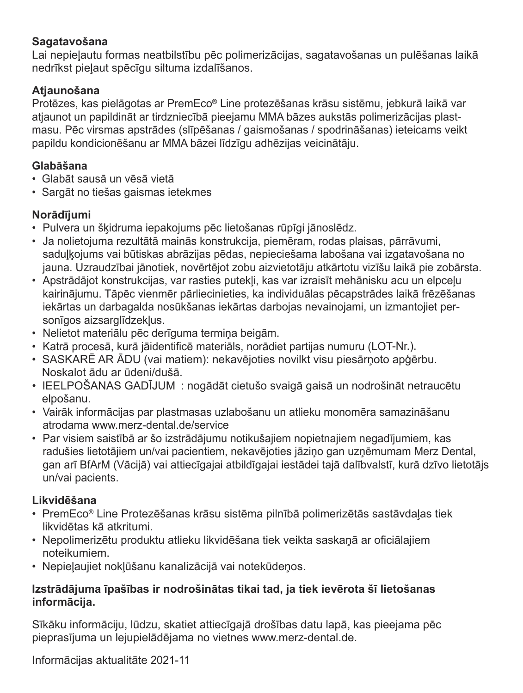### **Sagatavošana**

Lai nepieļautu formas neatbilstību pēc polimerizācijas, sagatavošanas un pulēšanas laikā nedrīkst pieļaut spēcīgu siltuma izdalīšanos.

### **Atjaunošana**

Protēzes, kas pielāgotas ar PremEco® Line protezēšanas krāsu sistēmu, jebkurā laikā var atiaunot un papildināt ar tirdzniecībā pieejamu MMA bāzes aukstās polimerizācijas plastmasu. Pēc virsmas apstrādes (slīpēšanas / gaismošanas / spodrināšanas) ieteicams veikt papildu kondicionēšanu ar MMA bāzei līdzīgu adhēzijas veicinātāju.

### **Glabāšana**

- Glabāt sausā un vēsā vietā
- Sargāt no tiešas gaismas ietekmes

### **Norādījumi**

- Pulvera un šķidruma iepakojums pēc lietošanas rūpīgi jānoslēdz.
- Ja nolietojuma rezultātā mainās konstrukcija, piemēram, rodas plaisas, pārrāvumi, saduļķojums vai būtiskas abrāzijas pēdas, nepieciešama labošana vai izgatavošana no jauna. Uzraudzībai jānotiek, novērtējot zobu aizvietotāju atkārtotu vizīšu laikā pie zobārsta.
- Apstrādājot konstrukcijas, var rasties putekļi, kas var izraisīt mehānisku acu un elpceļ<sup>u</sup> kairinājumu. Tāpēc vienmēr pārliecinieties, ka individuālas pēcapstrādes laikā frēzēšanas iekārtas un darbagalda nosūkšanas iekārtas darbojas nevainojami, un izmantojiet personīgos aizsarglīdzekļus.
- Nelietot materiālu pēc derīguma termiņa beigām.
- Katrā procesā, kurā jāidentificē materiāls, norādiet partijas numuru (LOT-Nr.).
- SASKARĒ AR ĀDU (vai matiem): nekavējoties novilkt visu piesārņoto apģērbu. Noskalot ādu ar ūdeni/dušā.
- IEELPOŠANAS GADĪJUM : nogādāt cietušo svaigā gaisā un nodrošināt netraucētu elpošanu.
- Vairāk informācijas par plastmasas uzlabošanu un atlieku monomēra samazināšanu atrodama www.merz-dental.de/service
- Par visiem saistībā ar šo izstrādājumu notikušajiem nopietnajiem negadījumiem, kas radušies lietotājiem un/vai pacientiem, nekavējoties jāziņo gan uzņēmumam Merz Dental, gan arī BfArM (Vācijā) vai attiecīgajai atbildīgajai iestādei tajā dalībvalstī, kurā dzīvo lietotājs un/vai pacients.

### **Likvidēšana**

- PremEco® Line Protezēšanas krāsu sistēma pilnībā polimerizētās sastāvdaļas tiek likvidētas kā atkritumi.
- Nepolimerizētu produktu atlieku likvidēšana tiek veikta saskaņā ar oficiālajiem noteikumiem.
- Nepieļaujiet nokļūšanu kanalizācijā vai notekūdeņos.

### **Izstrādājuma īpašības ir nodrošinātas tikai tad, ja tiek ievērota šī lietošanas informācija.**

Sīkāku informāciju, lūdzu, skatiet attiecīgajā drošības datu lapā, kas pieejama pē<sup>c</sup> pieprasījuma un lejupielādējama no vietnes www.merz-dental.de.

Informācijas aktualitāte 2021-11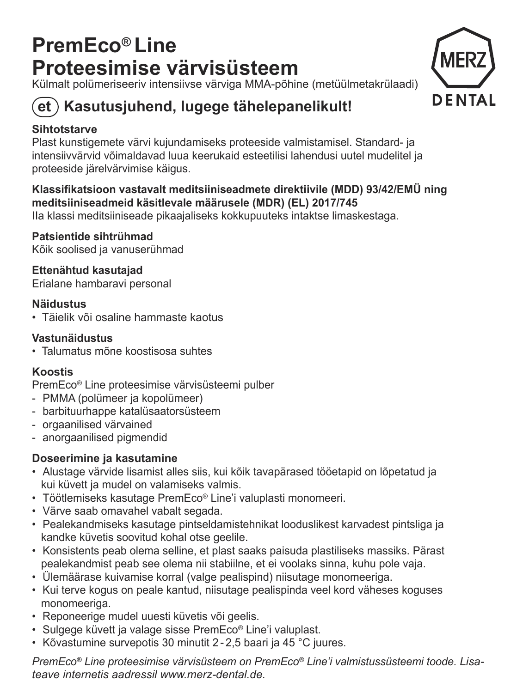## **PremEco® Line Proteesimise värvisüsteem**

Külmalt polümeriseeriv intensiivse värviga MMA-põhine (metüülmetakrülaadi)



### $\epsilon$ et) Kasutusiuhend, lugege tähelepanelikult!

### **Sihtotstarve**

 Plast kunstigemete värvi kujundamiseks proteeside valmistamisel. Standard- ja intensiivvärvid võimaldavad luua keerukaid esteetilisi lahendusi uutel mudelitel ja proteeside järelvärvimise käigus.

### **Klassifikatsioon vastavalt meditsiiniseadmete direktiivile (MDD) 93/42/EMÜ ning meditsiiniseadmeid käsitlevale määrusele (MDR) (EL) 2017/745**  IIa klassi meditsiiniseade pikaajaliseks kokkupuuteks intaktse limaskestaga.

**Patsientide sihtrühmad**Kõik soolised ja vanuserühmad

**Ettenähtud kasutajad** Erialane hambaravi personal

### **Näidustus**

• Täielik või osaline hammaste kaotus

### **Vastunäidustus**

• Talumatus mõne koostisosa suhtes

### **Koostis**

PremEco® Line proteesimise värvisüsteemi pulber

- PMMA (polümeer ja kopolümeer)
- barbituurhappe katalüsaatorsüsteem
- orgaanilised värvained
- anorgaanilised pigmendid

### **Doseerimine ja kasutamine**

- Alustage värvide lisamist alles siis, kui kõik tavapärased tööetapid on lõpetatud ja kui küvett ja mudel on valamiseks valmis.
- Töötlemiseks kasutage PremEco® Line'i valuplasti monomeeri.
- Värve saab omavahel vabalt segada.
- Pealekandmiseks kasutage pintseldamistehnikat looduslikest karvadest pintsliga ja kandke küvetis soovitud kohal otse geelile.
- Konsistents peab olema selline, et plast saaks paisuda plastiliseks massiks. Pärast pealekandmist peab see olema nii stabiilne, et ei voolaks sinna, kuhu pole vaja.
- Ülemäärase kuivamise korral (valge pealispind) niisutage monomeeriga.
- Kui terve kogus on peale kantud, niisutage pealispinda veel kord väheses koguses monomeeriga.
- Reponeerige mudel uuesti küvetis või geelis.
- Sulgege küvett ja valage sisse PremEco® Line'i valuplast.
- Kõvastumine survepotis 30 minutit 2 2,5 baari ja 45 °C juures.

*PremEco® Line proteesimise värvisüsteem on PremEco® Line'i valmistussüsteemi toode. Lisateave internetis aadressil www.merz-dental.de.*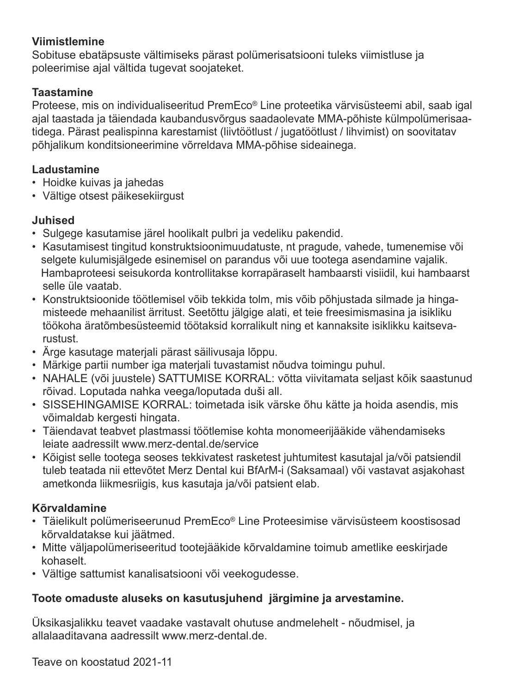### **Viimistlemine**

Sobituse ebatäpsuste vältimiseks pärast polümerisatsiooni tuleks viimistluse ja poleerimise ajal vältida tugevat soojateket.

### **Taastamine**

 Proteese, mis on individualiseeritud PremEco® Line proteetika värvisüsteemi abil, saab igal ajal taastada ja täiendada kaubandusvõrgus saadaolevate MMA-põhiste külmpolümerisaatidega. Pärast pealispinna karestamist (liivtöötlust / jugatöötlust / lihvimist) on soovitatav põhjalikum konditsioneerimine võrreldava MMA-põhise sideainega.

### **Ladustamine**

- Hoidke kuivas ja jahedas
- Vältige otsest päikesekiirgust

### **Juhised**

- Sulgege kasutamise järel hoolikalt pulbri ja vedeliku pakendid.
- Kasutamisest tingitud konstruktsioonimuudatuste, nt pragude, vahede, tumenemise või selgete kulumisjälgede esinemisel on parandus või uue tootega asendamine vajalik. Hambaproteesi seisukorda kontrollitakse korrapäraselt hambaarsti visiidil, kui hambaarst selle üle vaatab.
- Konstruktsioonide töötlemisel võib tekkida tolm, mis võib põhjustada silmade ja hingamisteede mehaanilist ärritust. Seetõttu jälgige alati, et teie freesimismasina ja isikliku töökoha äratõmbesüsteemid töötaksid korralikult ning et kannaksite isiklikku kaitsevarustust.
- Ärge kasutage materjali pärast säilivusaja lõppu.
- Märkige partii number iga materjali tuvastamist nõudva toimingu puhul.
- NAHALE (või juustele) SATTUMISE KORRAL: võtta viivitamata seljast kõik saastunud rõivad. Loputada nahka veega/loputada duši all.
- SISSEHINGAMISE KORRAL: toimetada isik värske õhu kätte ja hoida asendis, mis võimaldab kergesti hingata.
- Täiendavat teabvet plastmassi töötlemise kohta monomeerijääkide vähendamiseks leiate aadressilt www.merz-dental.de/service
- Kõigist selle tootega seoses tekkivatest rasketest juhtumitest kasutajal ja/või patsiendil tuleb teatada nii ettevõtet Merz Dental kui BfArM-i (Saksamaal) või vastavat asjakohast ametkonda liikmesriigis, kus kasutaja ja/või patsient elab.

### **Kõrvaldamine**

- Täielikult polümeriseerunud PremEco® Line Proteesimise värvisüsteem koostisosad kõrvaldatakse kui jäätmed.
- Mitte väljapolümeriseeritud tootejääkide kõrvaldamine toimub ametlike eeskirjade kohaselt.
- Vältige sattumist kanalisatsiooni või veekogudesse.

### **Toote omaduste aluseks on kasutusjuhend järgimine ja arvestamine.**

Üksikasjalikku teavet vaadake vastavalt ohutuse andmelehelt - nõudmisel, ja allalaaditavana aadressilt www.merz-dental.de.

Teave on koostatud 2021-11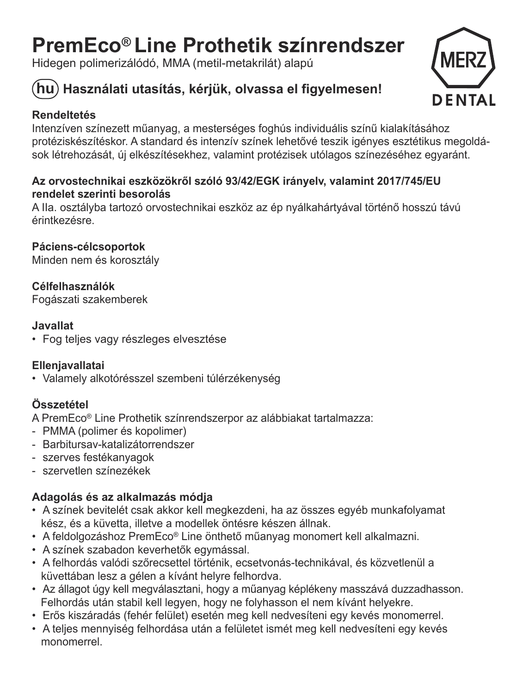## **PremEco® Line Prothetik színrendszer**

Hidegen polimerizálódó, MMA (metil-metakrilát) alapú

### **hu Használati utasítás, kérjük, olvassa el figyelmesen!**

### **Rendeltetés**

Intenzíven színezett műanyag, a mesterséges foghús individuális színű kialakításához protéziskészítéskor. A standard és intenzív színek lehetővé teszik igényes esztétikus megoldások létrehozását, új elkészítésekhez, valamint protézisek utólagos színezéséhez egyaránt.

### **Az orvostechnikai eszközökről szóló 93/42/EGK irányelv, valamint 2017/745/EU rendelet szerinti besorolás**

 A IIa. osztályba tartozó orvostechnikai eszköz az ép nyálkahártyával történő hosszú távú érintkezésre.

**Páciens-célcsoportok**  Minden nem és korosztály

**Célfelhasználók**Fogászati szakemberek

### **Javallat**

• Fog teljes vagy részleges elvesztése

### **Ellenjavallatai**

• Valamely alkotórésszel szembeni túlérzékenység

### **Összetétel**

A PremEco® Line Prothetik színrendszerpor az alábbiakat tartalmazza:

- PMMA (polimer és kopolimer)
- Barbitursav-katalizátorrendszer
- szerves festékanyagok
- szervetlen színezékek

### **Adagolás és az alkalmazás módja**

- A színek bevitelét csak akkor kell megkezdeni, ha az összes egyéb munkafolyamat kész, és a küvetta, illetve a modellek öntésre készen állnak.
- A feldolgozáshoz PremEco® Line önthető műanyag monomert kell alkalmazni.
- A színek szabadon keverhetők egymással.
- A felhordás valódi szőrecsettel történik, ecsetvonás-technikával, és közvetlenül a küvettában lesz a gélen a kívánt helyre felhordva.
- Az állagot úgy kell megválasztani, hogy a műanyag képlékeny masszává duzzadhasson. Felhordás után stabil kell legyen, hogy ne folyhasson el nem kívánt helyekre.
- Erős kiszáradás (fehér felület) esetén meg kell nedvesíteni egy kevés monomerrel.
- A teljes mennyiség felhordása után a felületet ismét meg kell nedvesíteni egy kevés monomerrel.

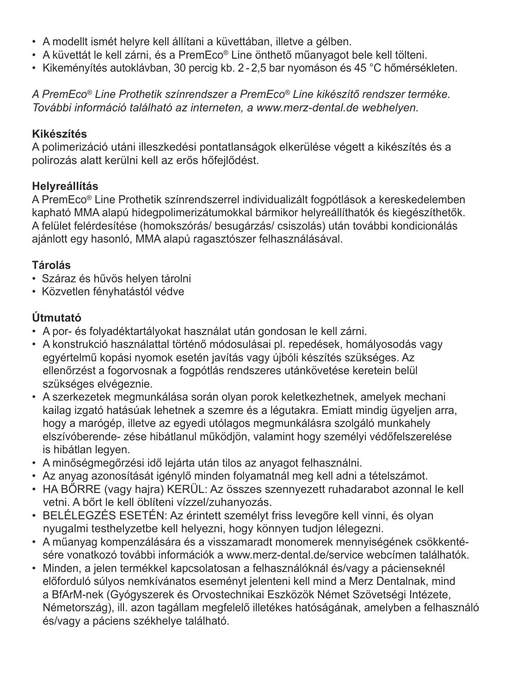- A modellt ismét helyre kell állítani a küvettában, illetve a gélben.
- A küvettát le kell zárni, és a PremEco® Line önthető műanyagot bele kell tölteni.
- Kikeményítés autoklávban, 30 percig kb. 2 2,5 bar nyomáson és 45 °C hőmérsékleten.

*A PremEco® Line Prothetik színrendszer a PremEco® Line kikészítő rendszer terméke. További információ található az interneten, a www.merz-dental.de webhelyen.*

### **Kikészítés**

 A polimerizáció utáni illeszkedési pontatlanságok elkerülése végett a kikészítés és a polirozás alatt kerülni kell az erős hőfejlődést.

### **Helyreállítás**

A PremEco® Line Prothetik színrendszerrel individualizált fogpótlások a kereskedelemben kapható MMA alapú hidegpolimerizátumokkal bármikor helyreállíthatók és kiegészíthetők. A felület felérdesítése (homokszórás/ besugárzás/ csiszolás) után további kondicionálás ajánlott egy hasonló, MMA alapú ragasztószer felhasználásával.

### **Tárolás**

- Száraz és hűvös helyen tárolni
- Közvetlen fényhatástól védve

### **Útmutató**

- A por- és folyadéktartályokat használat után gondosan le kell zárni.
- A konstrukció használattal történő módosulásai pl. repedések, homályosodás vagy egyértelmű kopási nyomok esetén javítás vagy újbóli készítés szükséges. Az ellenőrzést a fogorvosnak a fogpótlás rendszeres utánkövetése keretein belül szükséges elvégeznie.
- A szerkezetek megmunkálása során olyan porok keletkezhetnek, amelyek mechani kailag izgató hatásúak lehetnek a szemre és a légutakra. Emiatt mindig ügyeljen arra, hogy a marógép, illetve az egyedi utólagos megmunkálásra szolgáló munkahely elszívóberende- zése hibátlanul működjön, valamint hogy személyi védőfelszerelése is hibátlan legyen.
- A minőségmegőrzési idő lejárta után tilos az anyagot felhasználni.
- Az anyag azonosítását igénylő minden folyamatnál meg kell adni a tételszámot.
- HA BŐRRE (vagy hajra) KERÜL: Az összes szennyezett ruhadarabot azonnal le kell vetni. A bőrt le kell öblíteni vízzel/zuhanyozás.
- BELÉLEGZÉS ESETÉN: Az érintett személyt friss leveg<sup>ő</sup>re kell vinni, és olyan nyugalmi testhelyzetbe kell helyezni, hogy könnyen tudjon lélegezni.
- A műanyag kompenzálására és a visszamaradt monomerek mennyiségének csökkentésére vonatkozó további információk a www.merz-dental.de/service webcímen találhatók.
- Minden, a jelen termékkel kapcsolatosan a felhasználóknál és/vagy a pácienseknél előforduló súlyos nemkívánatos eseményt jelenteni kell mind a Merz Dentalnak, mind a BfArM-nek (Gyógyszerek és Orvostechnikai Eszközök Német Szövetségi Intézete, Németország), ill. azon tagállam megfelelő illetékes hatóságának, amelyben a felhasználó és/vagy a páciens székhelye található.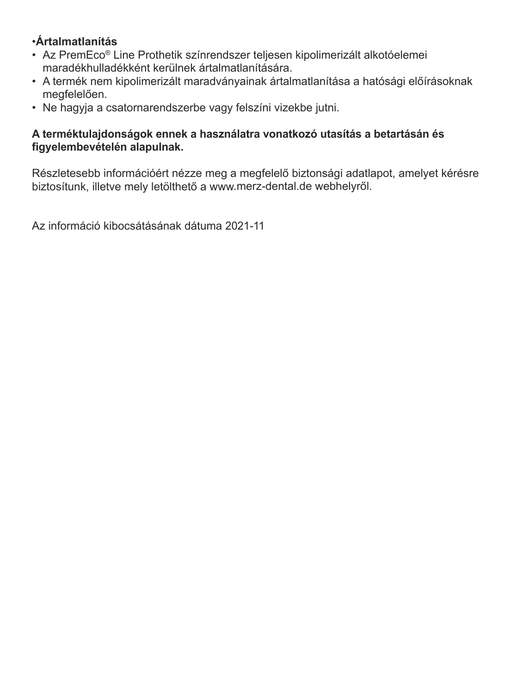### •**Ártalmatlanítás**

- Az PremEco® Line Prothetik színrendszer teljesen kipolimerizált alkotóelemei maradékhulladékként kerülnek ártalmatlanítására.
- A termék nem kipolimerizált maradványainak ártalmatlanítása a hatósági előírásoknak megfelelően.
- Ne hagyja a csatornarendszerbe vagy felszíni vizekbe jutni.

### **A terméktulajdonságok ennek a használatra vonatkozó utasítás a betartásán és figyelembevételén alapulnak.**

Részletesebb információért nézze meg a megfelelő biztonsági adatlapot, amelyet kérésre biztosítunk, illetve mely letölthető a www.merz-dental.de webhelyről.

Az információ kibocsátásának dátuma 2021-11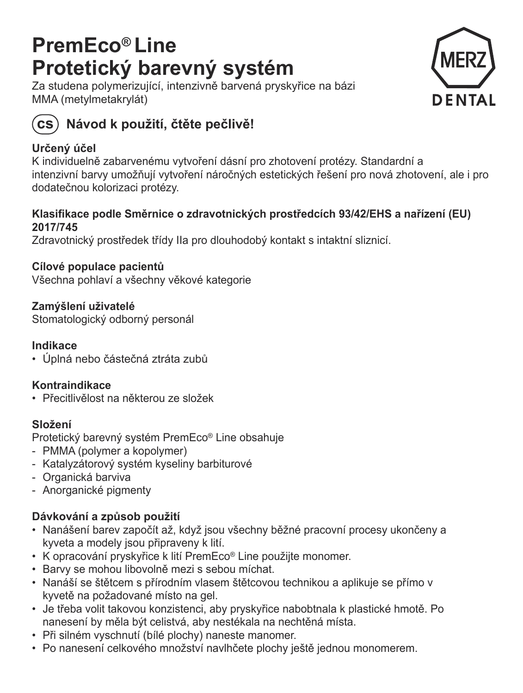## **PremEco® Line Protetický barevný systém**

Za studena polymerizující, intenzivně barvená pryskyřice na bázi MMA (metylmetakrylát)





### **cs Návod k použití, čtěte pečlivě!**

### **Určený účel**

K individuelně zabarvenému vytvoření dásní pro zhotovení protézy. Standardní a intenzivní barvy umožňují vytvoření náročných estetických řešení pro nová zhotovení, ale i pro dodatečnou kolorizaci protézy.

### **Klasifikace podle Směrnice o zdravotnických prostředcích 93/42/EHS a nařízení (EU) 2017/745**

Zdravotnický prostředek třídy IIa pro dlouhodobý kontakt s intaktní sliznicí.

**Cílové populace pacientů** Všechna pohlaví a všechny věkové kategorie

**Zamýšlení uživatelé**  Stomatologický odborný personál

### **Indikace**

• Úplná nebo <sup>č</sup>ástečná ztráta zub<sup>ů</sup>

### **Kontraindikace**

• Přecitlivělost na některou ze složek

### **Složení**

Protetický barevný systém PremEco® Line obsahuje

- PMMA (polymer a kopolymer)
- Katalyzátorový systém kyseliny barbiturové
- Organická barviva
- Anorganické pigmenty

### **Dávkování a způsob použití**

- Nanášení barev započít až, když jsou všechny běžné pracovní procesy ukončeny a kyveta a modely jsou připraveny k lití.
- K opracování pryskyřice k lití PremEco® Line použijte monomer.
- Barvy se mohou libovolně mezi s sebou míchat.
- Nanáší se štětcem s přírodním vlasem štětcovou technikou a aplikuje se přímo v kyvetě na požadované místo na gel.
- Je třeba volit takovou konzistenci, aby pryskyřice nabobtnala k plastické hmotě. Po nanesení by měla být celistvá, aby nestékala na nechtěná místa.
- Při silném vyschnutí (bílé plochy) naneste manomer.
- Po nanesení celkového množství navlhčete plochy ještě jednou monomerem.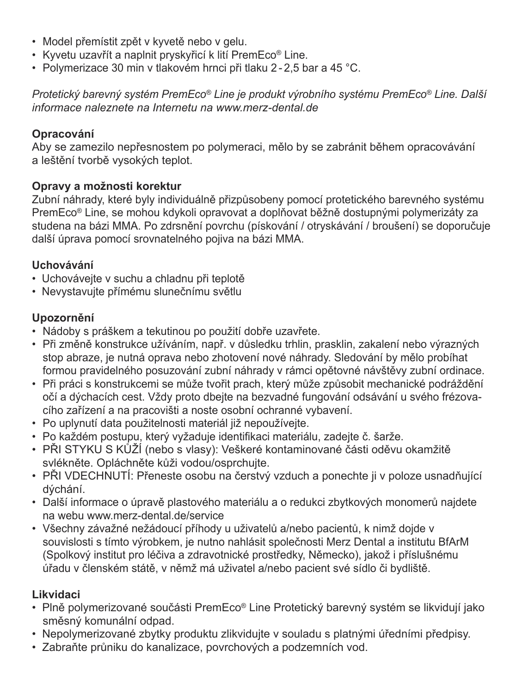- Model přemístit zpět v kyvetě nebo v gelu.
- Kyvetu uzavřít a naplnit pryskyřicí k lití PremEco® Line.
- Polymerizace 30 min v tlakovém hrnci při tlaku 2 2,5 bar a 45 °C.

*Protetický barevný systém PremEco® Line je produkt výrobního systému PremEco® Line. Další informace naleznete na Internetu na www.merz-dental.de*

### **Opracování**

Aby se zamezilo nepřesnostem po polymeraci, mělo by se zabránit během opracovávání a leštění tvorbě vysokých teplot.

### **Opravy a možnosti korektur**

Zubní náhrady, které byly individuálně přizpůsobeny pomocí protetického barevného systému PremEco® Line, se mohou kdykoli opravovat a doplňovat běžně dostupnými polymerizáty za studena na bázi MMA. Po zdrsnění povrchu (pískování / otryskávání / broušení) se doporučuje další úprava pomocí srovnatelného pojiva na bázi MMA.

### **Uchovávání**

- Uchovávejte v suchu a chladnu při teplotě
- Nevystavujte přímému slunečnímu světlu

### **Upozornění**

- Nádoby s práškem a tekutinou po použití dobře uzavřete.
- Při změně konstrukce užíváním, např. v důsledku trhlin, prasklin, zakalení nebo výrazných stop abraze, je nutná oprava nebo zhotovení nové náhrady. Sledování by mělo probíhat formou pravidelného posuzování zubní náhrady v rámci opětovné návštěvy zubní ordinace.
- Při práci s konstrukcemi se může tvořit prach, který může způsobit mechanické podráždění očí a dýchacích cest. Vždy proto dbejte na bezvadné fungování odsávání u svého frézovacího zařízení a na pracovišti a noste osobní ochranné vybavení.
- Po uplynutí data použitelnosti materiál již nepoužívejte.
- Po každém postupu, který vyžaduje identifikaci materiálu, zadejte č. šarže.
- PŘI STYKU S KŮŽÍ (nebo s vlasy): Veškeré kontaminované <sup>č</sup>ásti oděvu okamžit<sup>ě</sup> svlékněte. Opláchněte kůži vodou/osprchujte.
- PŘI VDECHNUTÍ: Přeneste osobu na čerstvý vzduch a ponechte ji v poloze usnadňující dýchání.
- Další informace o úpravě plastového materiálu a o redukci zbytkových monomerů najdete na webu www.merz-dental.de/service
- Všechny závažné nežádoucí příhody u uživatelů a/nebo pacientů, k nimž dojde v souvislosti s tímto výrobkem, je nutno nahlásit společnosti Merz Dental a institutu BfArM (Spolkový institut pro léčiva a zdravotnické prostředky, Německo), jakož i příslušnému úřadu v členském státě, v němž má uživatel a/nebo pacient své sídlo či bydliště.

### **Likvidaci**

- Plně polymerizované součásti PremEco® Line Protetický barevný systém se likvidují jako směsný komunální odpad.
- Nepolymerizované zbytky produktu zlikvidujte v souladu s platnými úředními předpisy.
- Zabraňte průniku do kanalizace, povrchových a podzemních vod.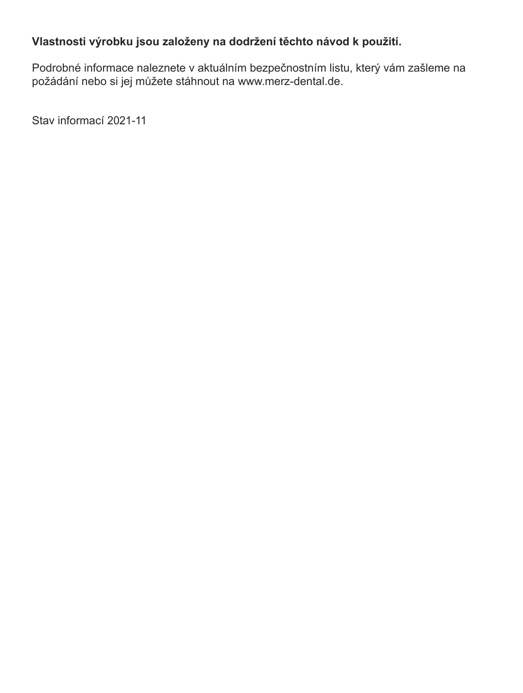### **Vlastnosti výrobku jsou založeny na dodržení těchto návod k použití.**

Podrobné informace naleznete v aktuálním bezpečnostním listu, který vám zašleme na požádání nebo si jej můžete stáhnout na www.merz-dental.de.

Stav informací 2021-11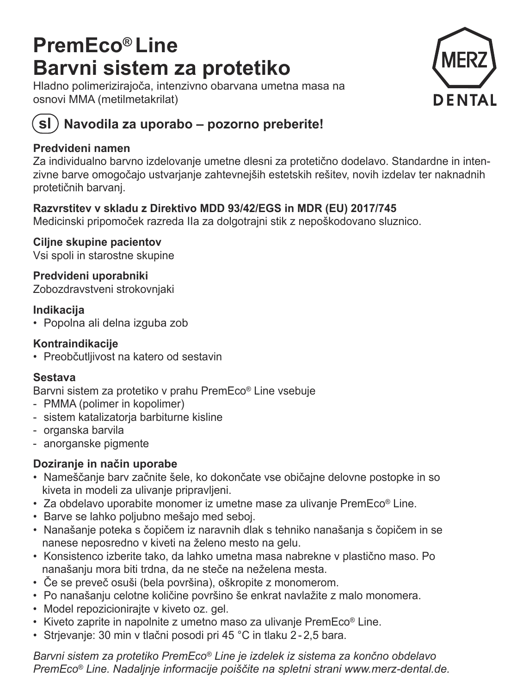## **PremEco® Line Barvni sistem za protetiko**

Hladno polimerizirajoča, intenzivno obarvana umetna masa na osnovi MMA (metilmetakrilat)



### **sl Navodila za uporabo – pozorno preberite!**

### **Predvideni namen**

Za individualno barvno izdelovanje umetne dlesni za protetično dodelavo. Standardne in intenzivne barve omogočajo ustvarjanje zahtevnejših estetskih rešitev, novih izdelav ter naknadnih protetičnih barvanj.

### **Razvrstitev v skladu z Direktivo MDD 93/42/EGS in MDR (EU) 2017/745**

Medicinski pripomoček razreda IIa za dolgotrajni stik z nepoškodovano sluznico.

**Ciljne skupine pacientov**  Vsi spoli in starostne skupine

**Predvideni uporabniki**  Zobozdravstveni strokovnjaki

### **Indikacija**

• Popolna ali delna izguba zob

### **Kontraindikacije**

• Preobčutljivost na katero od sestavin

### **Sestava**

Barvni sistem za protetiko v prahu PremEco® Line vsebuje

- PMMA (polimer in kopolimer)
- sistem katalizatorja barbiturne kisline
- organska barvila
- anorganske pigmente

### **Doziranje in način uporabe**

- Nameščanje barv začnite šele, ko dokončate vse običajne delovne postopke in so kiveta in modeli za ulivanje pripravljeni.
- Za obdelavo uporabite monomer iz umetne mase za ulivanje PremEco® Line.
- Barve se lahko poljubno mešajo med seboj.
- Nanašanje poteka s čopičem iz naravnih dlak s tehniko nanašanja s čopičem in se nanese neposredno v kiveti na želeno mesto na gelu.
- Konsistenco izberite tako, da lahko umetna masa nabrekne v plastično maso. Po nanašanju mora biti trdna, da ne steče na neželena mesta.
- Če se preveč osuši (bela površina), oškropite z monomerom.
- Po nanašanju celotne količine površino še enkrat navlažite z malo monomera.
- Model repozicionirajte v kiveto oz. gel.
- Kiveto zaprite in napolnite z umetno maso za ulivanje PremEco® Line.
- Strjevanje: 30 min v tlačni posodi pri 45 °C in tlaku 2 2,5 bara.

*Barvni sistem za protetiko PremEco® Line je izdelek iz sistema za končno obdelavo PremEco® Line. Nadaljnje informacije poiščite na spletni strani www.merz-dental.de.*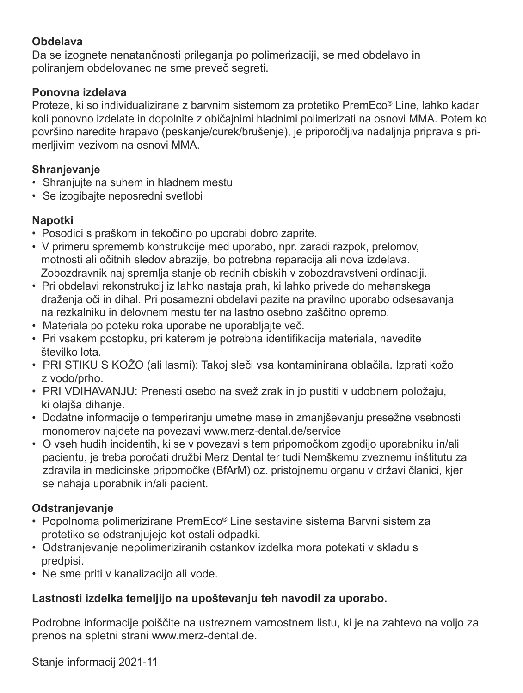### **Obdelava**

Da se izognete nenatančnosti prileganja po polimerizaciji, se med obdelavo in poliranjem obdelovanec ne sme preveč segreti.

### **Ponovna izdelava**

 Proteze, ki so individualizirane z barvnim sistemom za protetiko PremEco® Line, lahko kadar koli ponovno izdelate in dopolnite z običajnimi hladnimi polimerizati na osnovi MMA. Potem ko površino naredite hrapavo (peskanje/curek/brušenje), je priporočljiva nadaljnja priprava s primerljivim vezivom na osnovi MMA.

### **Shranjevanje**

- Shranjujte na suhem in hladnem mestu
- Se izogibajte neposredni svetlobi

### **Napotki**

- Posodici s praškom in tekočino po uporabi dobro zaprite.
- V primeru sprememb konstrukcije med uporabo, npr. zaradi razpok, prelomov, motnosti ali očitnih sledov abrazije, bo potrebna reparacija ali nova izdelava. Zobozdravnik naj spremlja stanje ob rednih obiskih v zobozdravstveni ordinaciji.
- Pri obdelavi rekonstrukcij iz lahko nastaja prah, ki lahko privede do mehanskega draženja oči in dihal. Pri posamezni obdelavi pazite na pravilno uporabo odsesavanja na rezkalniku in delovnem mestu ter na lastno osebno zaščitno opremo.
- Materiala po poteku roka uporabe ne uporabljajte več.
- Pri vsakem postopku, pri katerem je potrebna identifikacija materiala, navedite številko lota.
- PRI STIKU S KOŽO (ali lasmi): Takoj sle<sup>č</sup>i vsa kontaminirana oblačila. Izprati kožo z vodo/prho.
- PRI VDIHAVANJU: Prenesti osebo na svež zrak in jo pustiti v udobnem položaju, ki olajša dihanje.
- Dodatne informacije o temperiranju umetne mase in zmanjševanju presežne vsebnosti monomerov najdete na povezavi www.merz-dental.de/service
- O vseh hudih incidentih, ki se v povezavi s tem pripomočkom zgodijo uporabniku in/ali pacientu, je treba poročati družbi Merz Dental ter tudi Nemškemu zveznemu inštitutu za zdravila in medicinske pripomočke (BfArM) oz. pristojnemu organu v državi članici, kjer se nahaja uporabnik in/ali pacient.

### **Odstranjevanje**

- Popolnoma polimerizirane PremEco® Line sestavine sistema Barvni sistem za protetiko se odstranjujejo kot ostali odpadki.
- Odstranjevanje nepolimeriziranih ostankov izdelka mora potekati v skladu s predpisi.
- Ne sme priti v kanalizacijo ali vode.

### **Lastnosti izdelka temeljijo na upoštevanju teh navodil za uporabo.**

Podrobne informacije poiščite na ustreznem varnostnem listu, ki je na zahtevo na voljo za prenos na spletni strani www.merz-dental.de.

Stanje informacij 2021-11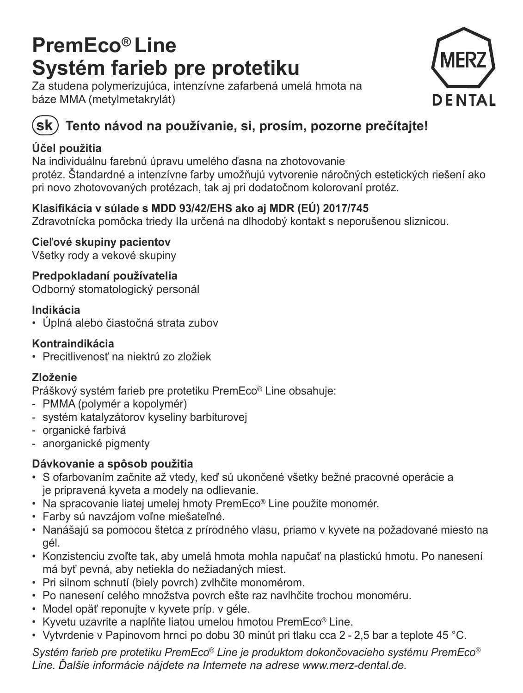## **PremEco® Line Systém farieb pre protetiku**

Za studena polymerizujúca, intenzívne zafarbená umelá hmota na báze MMA (metylmetakrylát)





### $({\mathbf{sk}})$  Tento návod na používanie, si, prosím, pozorne prečítaite!

### **Účel použitia**

Na individuálnu farebnú úpravu umelého ďasna na zhotovovanie

protéz. Štandardné a intenzívne farby umož<sup>ň</sup>ujú vytvorenie náročných estetických riešení ako pri novo zhotovovaných protézach, tak aj pri dodatočnom kolorovaní protéz.

### **Klasifikácia v súlade s MDD 93/42/EHS ako aj MDR (EÚ) 2017/745**

Zdravotnícka pomôcka triedy IIa určená na dlhodobý kontakt s neporušenou sliznicou.

**Cieľové skupiny pacientov** 

Všetky rody a vekové skupiny

**Predpokladaní používatelia**  Odborný stomatologický personál

### **Indikácia**

• Úplná alebo <sup>č</sup>iastočná strata zubov

### **Kontraindikácia**

• Precitlivenosť na niektrú zo zložiek

### **Zloženie**

Práškový systém farieb pre protetiku PremEco® Line obsahuje:

- PMMA (polymér a kopolymér)
- systém katalyzátorov kyseliny barbiturovej
- organické farbivá
- anorganické pigmenty

### **Dávkovanie a spôsob použitia**

- S ofarbovaním začnite až vtedy, keď sú ukončené všetky bežné pracovné operácie a je pripravená kyveta a modely na odlievanie.
- Na spracovanie liatej umelej hmoty PremEco® Line použite monomér.
- Farby sú navzájom voľne miešateľné.
- Nanášajú sa pomocou štetca z prírodného vlasu, priamo v kyvete na požadované miesto na gél.
- Konzistenciu zvoľte tak, aby umelá hmota mohla napučať na plastickú hmotu. Po nanesení má byť pevná, aby netiekla do nežiadaných miest.
- Pri silnom schnutí (biely povrch) zvlhčite monomérom.
- Po nanesení celého množstva povrch ešte raz navlhčite trochou monoméru.
- Model opäť reponujte v kyvete príp. v géle.
- Kyvetu uzavrite a naplňte liatou umelou hmotou PremEco® Line.
- Vytvrdenie v Papinovom hrnci po dobu 30 minút pri tlaku cca 2 2,5 bar a teplote 45 °C.

*Systém farieb pre protetiku PremEco® Line je produktom dokončovacieho systému PremEco® Line. Ďalšie informácie nájdete na Internete na adrese www.merz-dental.de.*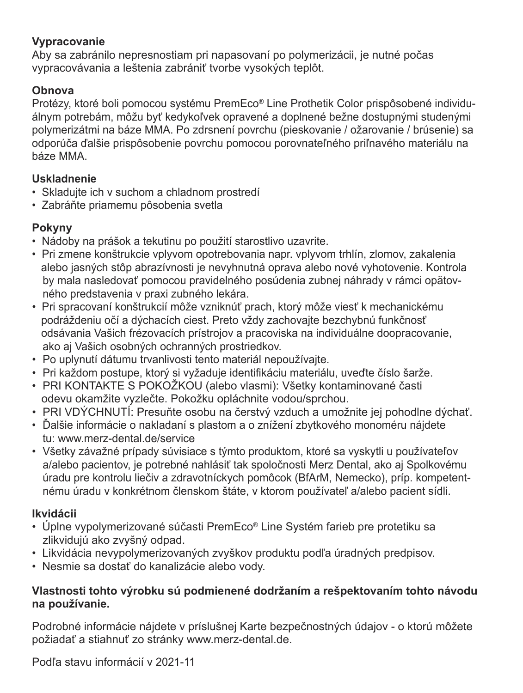### **Vypracovanie**

Aby sa zabránilo nepresnostiam pri napasovaní po polymerizácii, je nutné počas vypracovávania a leštenia zabrániť tvorbe vysokých teplôt.

### **Obnova**

Protézy, ktoré boli pomocou systému PremEco® Line Prothetik Color prispôsobené individuálnym potrebám, môžu byť kedykoľvek opravené a doplnené bežne dostupnými studenými polymerizátmi na báze MMA. Po zdrsnení povrchu (pieskovanie / ožarovanie / brúsenie) sa odporúča ďalšie prispôsobenie povrchu pomocou porovnateľného priľnavého materiálu na báze MMA.

### **Uskladnenie**

- Skladujte ich v suchom a chladnom prostredí
- Zabráňte priamemu pôsobenia svetla

### **Pokyny**

- Nádoby na prášok a tekutinu po použití starostlivo uzavrite.
- Pri zmene konštrukcie vplyvom opotrebovania napr. vplyvom trhlín, zlomov, zakalenia alebo jasných stôp abrazívnosti je nevyhnutná oprava alebo nové vyhotovenie. Kontrola by mala nasledovať pomocou pravidelného posúdenia zubnej náhrady v rámci opätovného predstavenia v praxi zubného lekára.
- Pri spracovaní konštrukcií môže vzniknúť prach, ktorý môže viesť k mechanickému podráždeniu očí a dýchacích ciest. Preto vždy zachovajte bezchybnú funkčnosť odsávania Vašich frézovacích prístrojov a pracoviska na individuálne doopracovanie, ako aj Vašich osobných ochranných prostriedkov.
- Po uplynutí dátumu trvanlivosti tento materiál nepoužívajte.
- Pri každom postupe, ktorý si vyžaduje identifikáciu materiálu, uveďte číslo šarže.
- PRI KONTAKTE S POKOŽKOU (alebo vlasmi): Všetky kontaminované <sup>č</sup>asti odevu okamžite vyzlečte. Pokožku opláchnite vodou/sprchou.
- PRI VDÝCHNUTÍ: Presuňte osobu na čerstvý vzduch a umožnite jej pohodlne dýchať.
- Ďalšie informácie o nakladaní s plastom a o znížení zbytkového monoméru nájdete tu: www.merz-dental.de/service
- Všetky závažné prípady súvisiace s týmto produktom, ktoré sa vyskytli u používateľov a/alebo pacientov, je potrebné nahlásiť tak spoločnosti Merz Dental, ako aj Spolkovému úradu pre kontrolu liečiv a zdravotníckych pomôcok (BfArM, Nemecko), príp. kompetentnému úradu v konkrétnom členskom štáte, v ktorom používateľ a/alebo pacient sídli.

### **Ikvidácii**

- Úplne vypolymerizované sú<sup>č</sup>asti PremEco® Line Systém farieb pre protetiku sa zlikvidujú ako zvyšný odpad.
- Likvidácia nevypolymerizovaných zvyškov produktu podľa úradných predpisov.
- Nesmie sa dostať do kanalizácie alebo vody.

### **Vlastnosti tohto výrobku sú podmienené dodržaním a rešpektovaním tohto návodu na používanie.**

Podrobné informácie nájdete v príslušnej Karte bezpečnostných údajov - o ktorú môžete požiadať a stiahnuť zo stránky www.merz-dental.de.

Podľa stavu informácií v 2021-11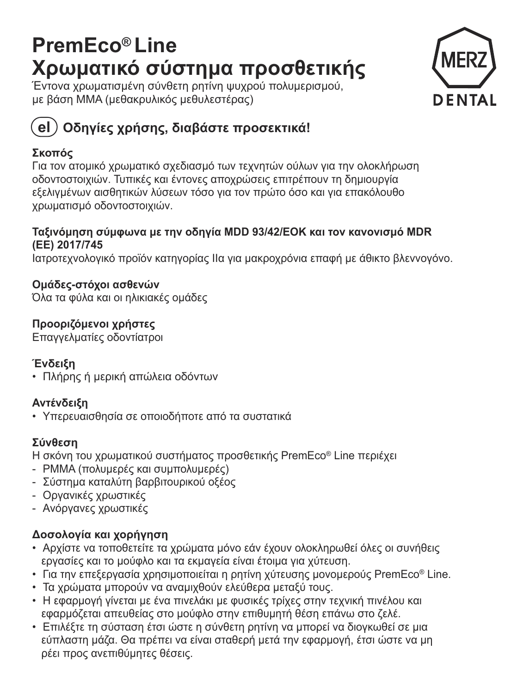## **PremEco® Line Χρωματικό σύστημα προσθετικής**

Έντονα χρωματισμένη σύνθετη ρητίνη ψυχρού πολυμερισμού, με βάση MMA (μεθακρυλικός μεθυλεστέρας)



### **el Οδηγίες χρήσης, διαβάστε προσεκτικά!**

### **Σκοπός**

Για τον ατομικό χρωματικό σχεδιασμό των τεχνητών ούλων για την ολοκλήρωση οδοντοστοιχιών. Τυπικές και έντονες αποχρώσεις επιτρέπουν τη δημιουργία εξελιγμένων αισθητικών λύσεων τόσο για τον πρώτο όσο και για επακόλουθο χρωματισμό οδοντοστοιχιών.

### **Ταξινόμηση σύμφωνα με την οδηγία MDD 93/42/ΕΟΚ και τον κανονισμό MDR (ΕΕ) 2017/745**

Ιατροτεχνολογικό προϊόν κατηγορίας ΙΙα για μακροχρόνια επαφή με άθικτο βλεννογόνο.

**Ομάδες-στόχοι ασθενών** Όλα τα φύλα και οι ηλικιακές ομάδες

### **Προοριζόμενοι χρήστες**

Επαγγελματίες οδοντίατροι

### **Ένδειξη**

• Πλήρης ή μερική απώλεια οδόντων

### **Αντένδειξη**

• Υπερευαισθησία σε οποιοδήποτε από τα συστατικά

### **Σύνθεση**

Η σκόνη του χρωματικού συστήματος προσθετικής PremEco® Line περιέχει

- PMMA (πολυμερές και συμπολυμερές)
- Σύστημα καταλύτη βαρβιτουρικού οξέος
- Οργανικές χρωστικές
- Ανόργανες χρωστικές

### **Δοσολογία και χορήγηση**

- Αρχίστε να τοποθετείτε τα χρώματα μόνο εάν έχουν ολοκληρωθεί όλες οι συνήθεις εργασίες και το μούφλο και τα εκμαγεία είναι έτοιμα για χύτευση.
- Για την επεξεργασία χρησιμοποιείται η ρητίνη χύτευσης μονομερούς PremEco® Line.
- Τα χρώματα μπορούν να αναμιχθούν ελεύθερα μεταξύ τους.
- Η εφαρμογή γίνεται με ένα πινελάκι με φυσικές τρίχες στην τεχνική πινέλου και εφαρμόζεται απευθείας στο μούφλο στην επιθυμητή θέση επάνω στο ζελέ.
- Επιλέξτε τη σύσταση έτσι ώστε η σύνθετη ρητίνη να μπορεί να διογκωθεί σε μια εύπλαστη μάζα. Θα πρέπει να είναι σταθερή μετά την εφαρμογή, έτσι ώστε να μη ρέει προς ανεπιθύμητες θέσεις.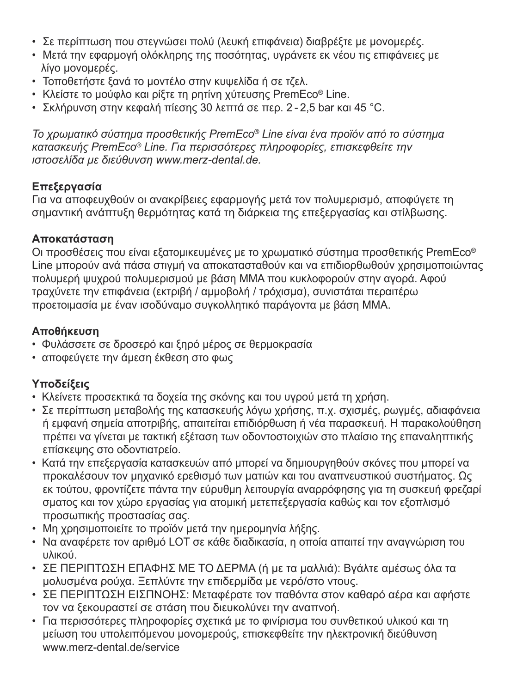- Σε περίπτωση που στεγνώσει πολύ (λευκή επιφάνεια) διαβρέξτε με μονομερές.
- Μετά την εφαρμογή ολόκληρης της ποσότητας, υγράνετε εκ νέου τις επιφάνειες με λίγο μονομερές.
- Τοποθετήστε ξανά το μοντέλο στην κυψελίδα ή σε τζελ.
- Κλείστε το μούφλο και ρίξτε τη ρητίνη χύτευσης PremEco® Line.
- Σκλήρυνση στην κεφαλή πίεσης 30 λεπτά σε περ. 2 2,5 bar και 45 °C.

*Το χρωματικό σύστημα προσθετικής PremEco® Line είναι ένα προϊόν από το σύστημα κατασκευής PremEco® Line. Για περισσότερες πληροφορίες, επισκεφθείτε την ιστοσελίδα με διεύθυνση www.merz-dental.de.*

### **Επεξεργασία**

Για να αποφευχθούν οι ανακρίβειες εφαρμογής μετά τον πολυμερισμό, αποφύγετε τη σημαντική ανάπτυξη θερμότητας κατά τη διάρκεια της επεξεργασίας και στίλβωσης.

### **Αποκατάσταση**

Οι προσθέσεις που είναι εξατομικευμένες με το χρωματικό σύστημα προσθετικής PremEco® Line μπορούν ανά πάσα στιγμή να αποκατασταθούν και να επιδιορθωθούν χρησιμοποιώντας πολυμερή ψυχρού πολυμερισμού με βάση MMA που κυκλοφορούν στην αγορά. Αφού τραχύνετε την επιφάνεια (εκτριβή / αμμοβολή / τρόχισμα), συνιστάται περαιτέρω προετοιμασία με έναν ισοδύναμο συγκολλητικό παράγοντα με βάση MMA.

### **Αποθήκευση**

- Φυλάσσετε σε δροσερό και ξηρό μέρος σε θερμοκρασία
- αποφεύγετε την άμεση έκθεση στο φως

### **Υποδείξεις**

- Κλείνετε προσεκτικά τα δοχεία της σκόνης και του υγρού μετά τη χρήση.
- Σε περίπτωση μεταβολής της κατασκευής λόγω χρήσης, π.χ. σχισμές, ρωγμές, αδιαφάνεια ή εμφανή σημεία αποτριβής, απαιτείται επιδιόρθωση ή νέα παρασκευή. Η παρακολούθηση πρέπει να γίνεται με τακτική εξέταση των οδοντοστοιχιών στο πλαίσιο της επαναληπτικής επίσκεψης στο οδοντιατρείο.
- Κατά την επεξεργασία κατασκευών από μπορεί να δημιουργηθούν σκόνες που μπορεί να προκαλέσουν τον μηχανικό ερεθισμό των ματιών και του αναπνευστικού συστήματος. Ως εκ τούτου, φροντίζετε πάντα την εύρυθμη λειτουργία αναρρόφησης για τη συσκευή φρεζαρί σματος και τον χώρο εργασίας για ατομική μετεπεξεργασία καθώς και τον εξοπλισμό προσωπικής προστασίας σας.
- Μη χρησιμοποιείτε το προϊόν μετά την ημερομηνία λήξης.
- Να αναφέρετε τον αριθμό LOT σε κάθε διαδικασία, η οποία απαιτεί την αναγνώριση του υλικού.
- ΣΕ ΠΕΡΙΠΤΩΣΗ ΕΠΑΦΗΣ ΜΕ ΤΟ ΔΕΡΜΑ (ή με τα μαλλιά): Βγάλτε αμέσως όλα τα μολυσμένα ρούχα. Ξεπλύντε την επιδερμίδα με νερό/στο ντους.
- ΣΕ ΠΕΡΙΠΤΩΣΗ ΕΙΣΠΝΟΗΣ: Μεταφέρατε τον παθόντα στον καθαρό αέρα και αφήστε τον να ξεκουραστεί σε στάση που διευκολύνει την αναπνοή.
- Για περισσότερες πληροφορίες σχετικά με το φινίρισμα του συνθετικού υλικού και τη μείωση του υπολειπόμενου μονομερούς, επισκεφθείτε την ηλεκτρονική διεύθυνση www.merz-dental.de/service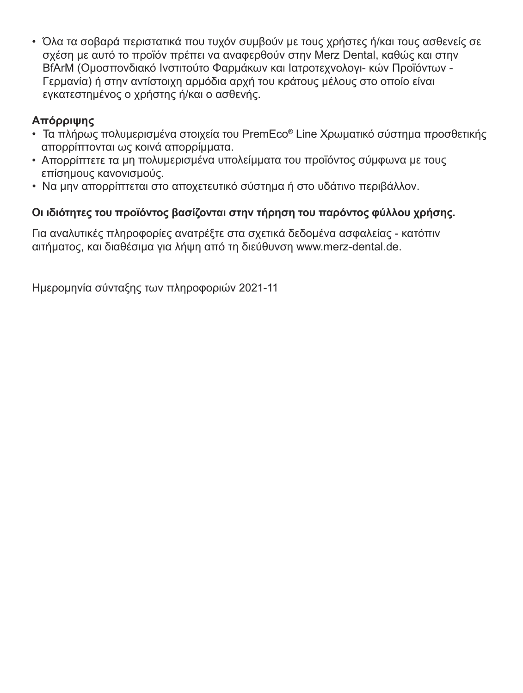• Όλα τα σοβαρά περιστατικά που τυχόν συμβούν με τους χρήστες ή/και τους ασθενείς σε σχέση με αυτό το προϊόν πρέπει να αναφερθούν στην Merz Dental, καθώς και στην BfArM (Ομοσπονδιακό Ινστιτούτο Φαρμάκων και Ιατροτεχνολογι- κών Προϊόντων - Γερμανία) ή στην αντίστοιχη αρμόδια αρχή του κράτους μέλους στο οποίο είναι εγκατεστημένος <sup>ο</sup> χρήστης ή/και <sup>ο</sup> ασθενής.

### **Απόρριψης**

- Τα πλήρως πολυμερισμένα στοιχεία του PremEco® Line Χρωματικό σύστημα προσθετικής απορρίπτονται ως κοινά απορρίμματα.
- Απορρίπτετε τα μη πολυμερισμένα υπολείμματα του προϊόντος σύμφωνα με τους επίσημους κανονισμούς.
- Να μην απορρίπτεται στο αποχετευτικό σύστημα ή στο υδάτινο περιβάλλον.

### **Οι ιδιότητες του προϊόντος βασίζονται στην τήρηση του παρόντος φύλλου χρήσης.**

Για αναλυτικές πληροφορίες ανατρέξτε στα σχετικά δεδομένα ασφαλείας - κατόπιν αιτήματος, και διαθέσιμα για λήψη από τη διεύθυνση www.merz-dental.de.

Ημερομηνία σύνταξης των πληροφοριών 2021-11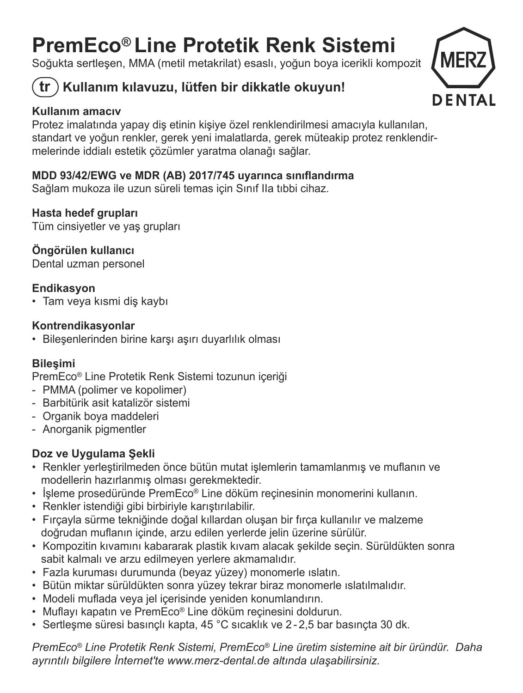## **PremEco® Line Protetik Renk Sistemi**

Soğukta sertleşen, MMA (metil metakrilat) esaslı, yoğun boya icerikli kompozit

### **tr Kullanım kılavuzu, lütfen bir dikkatle okuyun!**



Protez imalatında yapay diş etinin kişiye özel renklendirilmesi amacıyla kullanılan, standart ve yoğun renkler, gerek yeni imalatlarda, gerek müteakip protez renklendirmelerinde iddialı estetik çözümler yaratma olanağı sağlar.

### **MDD 93/42/EWG ve MDR (AB) 2017/745 uyarınca sınıflandırma**

Sağlam mukoza ile uzun süreli temas için Sınıf IIa tıbbi cihaz.

### **Hasta hedef grupları**

Tüm cinsiyetler ve yaş grupları

### **Öngörülen kullanıcı**

Dental uzman personel

### **Endikasyon**

• Tam veya kısmi diş kaybı

### **Kontrendikasyonlar**

• Bileşenlerinden birine karşı aşırı duyarlılık olması

### **Bileşimi**

PremEco® Line Protetik Renk Sistemi tozunun içeriği

- PMMA (polimer ve kopolimer)
- Barbitürik asit katalizör sistemi
- Organik boya maddeleri
- Anorganik pigmentler

### **Doz ve Uygulama Şekli**

- Renkler yerleştirilmeden önce bütün mutat işlemlerin tamamlanmış ve muflanın ve modellerin hazırlanmış olması gerekmektedir.
- İşleme prosedüründe PremEco® Line döküm reçinesinin monomerini kullanın.
- Renkler istendiği gibi birbiriyle karıştırılabilir.
- Fırçayla sürme tekniğinde doğal kıllardan oluşan bir fırça kullanılır ve malzeme doğrudan muflanın içinde, arzu edilen yerlerde jelin üzerine sürülür.
- Kompozitin kıvamını kabararak plastik kıvam alacak şekilde seçin. Sürüldükten sonra sabit kalmalı ve arzu edilmeyen yerlere akmamalıdır.
- Fazla kuruması durumunda (beyaz yüzey) monomerle ıslatın.
- Bütün miktar sürüldükten sonra yüzey tekrar biraz monomerle ıslatılmalıdır.
- Modeli muflada veya jel içerisinde yeniden konumlandırın.
- Muflayı kapatın ve PremEco® Line döküm reçinesini doldurun.
- Sertleşme süresi basınçlı kapta, 45 °C sıcaklık ve 2 2,5 bar basınçta 30 dk.

*PremEco® Line Protetik Renk Sistemi, PremEco® Line üretim sistemine ait bir üründür. Daha ayrıntılı bilgilere İnternet'te www.merz-dental.de altında ulaşabilirsiniz.*

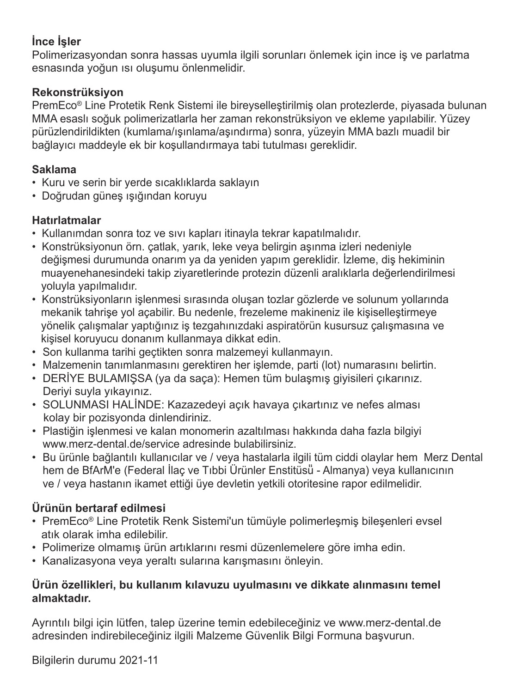### **İnce İşler**

Polimerizasyondan sonra hassas uyumla ilgili sorunları önlemek için ince iş ve parlatma esnasında yoğun ısı oluşumu önlenmelidir.

### **Rekonstrüksiyon**

PremEco® Line Protetik Renk Sistemi ile bireyselleştirilmiş olan protezlerde, piyasada bulunan MMA esaslı soğuk polimerizatlarla her zaman rekonstrüksiyon ve ekleme yapılabilir. Yüzey pürüzlendirildikten (kumlama/ışınlama/aşındırma) sonra, yüzeyin MMA bazlı muadil bir bağlayıcı maddeyle ek bir koşullandırmaya tabi tutulması gereklidir.

### **Saklama**

- Kuru ve serin bir yerde sıcaklıklarda saklayın
- Doğrudan güneş <sup>ı</sup>şığından koruyu

### **Hatırlatmalar**

- Kullanımdan sonra toz ve sıvı kapları itinayla tekrar kapatılmalıdır.
- Konstrüksiyonun örn. çatlak, yarık, leke veya belirgin aşınma izleri nedeniyle değişmesi durumunda onarım ya da yeniden yapım gereklidir. İzleme, diş hekiminin muayenehanesindeki takip ziyaretlerinde protezin düzenli aralıklarla değerlendirilmesi yoluyla yapılmalıdır.
- Konstrüksiyonların işlenmesi sırasında oluşan tozlar gözlerde ve solunum yollarında mekanik tahrişe yol açabilir. Bu nedenle, frezeleme makineniz ile kişiselleştirmeye yönelik çalışmalar yaptığınız iş tezgahınızdaki aspiratörün kusursuz çalışmasına ve kişisel koruyucu donanım kullanmaya dikkat edin.
- Son kullanma tarihi geçtikten sonra malzemeyi kullanmayın.
- Malzemenin tanımlanmasını gerektiren her işlemde, parti (lot) numarasını belirtin.
- DERİYE BULAMIŞSA (ya da saça): Hemen tüm bulaşmış giyisileri çıkarınız. Deriyi suyla yıkayınız.
- SOLUNMASI HALİNDE: Kazazedeyi açık havaya çıkartınız ve nefes alması kolay bir pozisyonda dinlendiriniz.
- Plastiğin işlenmesi ve kalan monomerin azaltılması hakkında daha fazla bilgiyi www.merz-dental.de/service adresinde bulabilirsiniz.
- Bu ürünle bağlantılı kullanıcılar ve / veya hastalarla ilgili tüm ciddi olaylar hem Merz Dental hem de BfArM'e (Federal İlaç ve Tıbbi Ürünler Enstitüsü̈ - Almanya) veya kullanıcının ve / veya hastanın ikamet ettiği üye devletin yetkili otoritesine rapor edilmelidir.

### **Ürünün bertaraf edilmesi**

- PremEco® Line Protetik Renk Sistemi'un tümüyle polimerleşmiş bileşenleri evsel atık olarak imha edilebilir.
- Polimerize olmamış ürün artıklarını resmi düzenlemelere göre imha edin.
- Kanalizasyona veya yeraltı sularına karışmasını önleyin.

### **Ürün özellikleri, bu kullanım kılavuzu uyulmasını ve dikkate alınmasını temel almaktadır.**

Ayrıntılı bilgi için lütfen, talep üzerine temin edebileceğiniz ve www.merz-dental.de adresinden indirebileceğiniz ilgili Malzeme Güvenlik Bilgi Formuna başvurun.

Bilgilerin durumu 2021-11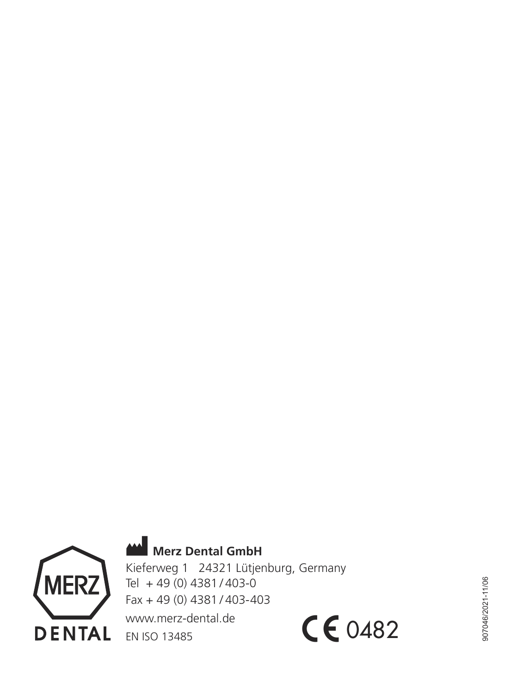

 **Merz Dental GmbH**

Kieferweg 1 24321 Lütjenburg, Germany Tel + 49 (0) 4381 / 403-0 Fax + 49 (0) 4381 / 403-403 www.merz-dental.de EN ISO 13485CE0482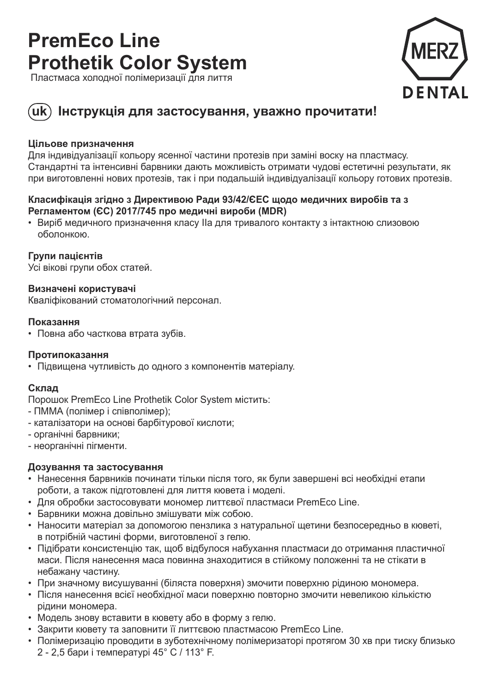## **PremEco Line Prothetik Color System**

Пластмаса холодної полімеризації для лиття



### **uk Інструкція для застосування, уважно прочитати!**

### **Цільове призначення**

Для індивідуалізації кольору ясенної частини протезів при заміні воску на пластмасу. Стандартні та інтенсивні барвники дають можливість отримати чудові естетичні результати, як при виготовленні нових протезів, так і при подальшій індивідуалізації кольору готових протезів.

### **Класифікація згідно з Директивою Ради 93/42/ЄEC щодо медичних виробів та з Регламентом (ЄС) 2017/745 про медичні вироби (MDR)**

• Виріб медичного призначення класу IIa для тривалого контакту з інтактною слизовою оболонкою.

### **Групи пацієнтів**

Усі вікові групи обох статей.

### **Визначені користувачі**

Кваліфікований стоматологічний персонал.

### **Показання**

• Повна або часткова втрата зубів.

### **Протипоказання**

• Підвищена чутливість до одного з компонентів матеріалу.

### **Склад**

Порошок PremEco Line Prothetik Color System містить:

- ПММА (полімер і співполімер);
- каталізатори на основі барбітурової кислоти;
- органічні барвники;
- неорганічні пігменти.

### **Дозування та застосування**

- Нанесення барвників починати тільки після того, як були завершені всі необхідні етапи роботи, а також підготовлені для лиття кювета і моделі.
- Для обробки застосовувати мономер литтєвої пластмаси PremEco Line.
- Барвники можна довільно змішувати між собою.
- Наносити матеріал за допомогою пензлика з натуральної щетини безпосередньо в кюветі, в потрібній частині форми, виготовленої з гелю.
- Підібрати консистенцію так, щоб відбулося набухання пластмаси до отримання пластичної маси. Після нанесення маса повинна знаходитися в стійкому положенні та не стікати в небажану частину.
- При значному висушуванні (біляста поверхня) змочити поверхню рідиною мономера.
- Після нанесення всієї необхідної маси поверхню повторно змочити невеликою кількістю рідини мономера.
- Модель знову вставити в кювету або в форму з гелю.
- Закрити кювету та заповнити її литтєвою пластмасою PremEco Line.
- Полімеризацію проводити в зуботехнічному полімеризаторі протягом 30 хв при тиску близько 2 - 2,5 бари і температурі 45° C / 113° F.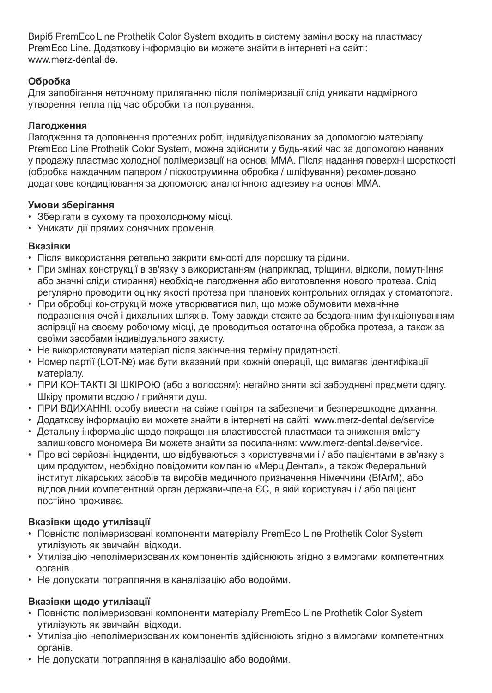Виріб PremEco Line Prothetik Color System входить в систему заміни воску на пластмасу PremEco Line. Додаткову інформацію ви можете знайти в інтернеті на сайті: www.merz-dental.de.

### **Обробка**

Для запобігання неточному приляганню після полімеризації слід уникати надмірного утворення тепла під час обробки та полірування.

### **Лагодження**

Лагодження та доповнення протезних робіт, індивідуалізованих за допомогою матеріалу PremEco Line Prothetik Color System, можна здійснити у будь-який час за допомогою наявних у продажy пластмас холодної полімеризації на основі MMA. Після надання поверхні шорсткості (обробка наждачним папером / піскоструминна обробка / шліфування) рекомендовано додаткове кондиціювання за допомогою аналогічного адгезиву на основі ММА.

### **Умови зберігання**

- Зберігати в сухому та прохолодному місці.
- Уникати дії прямих сонячних променів.

### **Вказівки**

- Після використання ретельно закрити ємності для порошку та рідини.
- При змінах конструкції в зв'язку з використанням (наприклад, тріщини, відколи, помутніння або значні сліди стирання) необхідне лагодження або виготовлення нового протезa. Слід регулярно проводити оцінку якості протезa при планових контрольних оглядах у стоматолога.
- При обробці конструкцій може утворюватися пил, що може обумовити механічне подразнення очей i дихальних шляхів. Тому завжди стежте за бездоганним функціонуванням аспірації на своєму робочому місці, де проводиться остаточна обробка протезa, а також за своїми засобами індивідуального захисту.
- Не використовувати матеріал після закінчення терміну придатності.
- Номер партії (LOT-№) має бути вказаний при кожній операції, що вимагає ідентифікації матеріалу.
- ПРИ КОНТАКТІ ЗІ ШКІРОЮ (або з волоссям): негайно зняти всі забруднені предмети одягу. Шкіру промити водою / прийняти душ.
- ПРИ ВДИХАННІ: особу вивести на свіже повітря та забезпечити безперешкодне дихання.
- Додаткову інформацію ви можете знайти в інтернеті на сайті: www.merz-dental.de/service
- Детальну інформацію щодо покращення властивостей пластмаси та зниження вмісту залишкового мономера Ви можете знайти за посиланням: www.merz-dental.de/service.
- Про всі серйозні інциденти, що відбуваються з користувачами і / або пацієнтами в зв'язку з цим продуктом, необхідно повідомити компанію «Мерц Дентал», а також Федеральний інститут лікарських засобів та виробів медичного призначення Німеччини (BfArM), або відповідний компетентний орган держави-члена ЄС, в якій користувач і / або пацієнт постійно проживає.

### **Вказівки щодо утилізації**

- Повністю полімеризовані компоненти матеріалу PremEco Line Prothetik Color System утилізують як звичайні відходи.
- Утилізацію неполімеризованих компонентів здійснюють згідно з вимогами компетентних органів.
- Не допускати потрапляння в каналізацію або водойми.

### **Вказівки щодо утилізації**

- Повністю полімеризовані компоненти матеріалу PremEco Line Prothetik Color System утилізують як звичайні відходи.
- Утилізацію неполімеризованих компонентів здійснюють згідно з вимогами компетентних органів.
- Не допускати потрапляння в каналізацію або водойми.